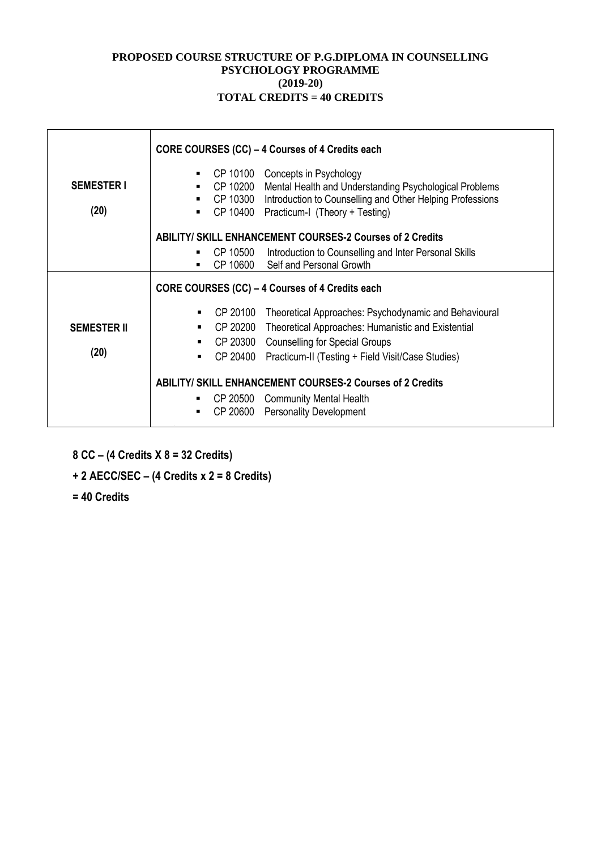#### **PROPOSED COURSE STRUCTURE OF P.G.DIPLOMA IN COUNSELLING PSYCHOLOGY PROGRAMME (2019-20) TOTAL CREDITS = 40 CREDITS**

|                           |                                                                  | CORE COURSES (CC) – 4 Courses of 4 Credits each                                                                                                                                          |  |  |  |  |
|---------------------------|------------------------------------------------------------------|------------------------------------------------------------------------------------------------------------------------------------------------------------------------------------------|--|--|--|--|
| <b>SEMESTER I</b><br>(20) | CP 10100<br>CP 10200<br>CP 10300                                 | Concepts in Psychology<br>Mental Health and Understanding Psychological Problems<br>Introduction to Counselling and Other Helping Professions<br>CP 10400 Practicum-I (Theory + Testing) |  |  |  |  |
|                           |                                                                  | <b>ABILITY/ SKILL ENHANCEMENT COURSES-2 Courses of 2 Credits</b>                                                                                                                         |  |  |  |  |
|                           | CP 10500<br>$\blacksquare$                                       | Introduction to Counselling and Inter Personal Skills<br>CP 10600 Self and Personal Growth                                                                                               |  |  |  |  |
|                           | CORE COURSES (CC) – 4 Courses of 4 Credits each                  |                                                                                                                                                                                          |  |  |  |  |
|                           | CP 20100<br>٠                                                    | Theoretical Approaches: Psychodynamic and Behavioural                                                                                                                                    |  |  |  |  |
| <b>SEMESTER II</b>        | CP 20200<br>٠                                                    | Theoretical Approaches: Humanistic and Existential                                                                                                                                       |  |  |  |  |
|                           | $\blacksquare$                                                   | CP 20300 Counselling for Special Groups                                                                                                                                                  |  |  |  |  |
| (20)                      | CP 20400<br>$\blacksquare$                                       | Practicum-II (Testing + Field Visit/Case Studies)                                                                                                                                        |  |  |  |  |
|                           | <b>ABILITY/ SKILL ENHANCEMENT COURSES-2 Courses of 2 Credits</b> |                                                                                                                                                                                          |  |  |  |  |
|                           | ٠                                                                | CP 20500 Community Mental Health                                                                                                                                                         |  |  |  |  |
|                           | $\blacksquare$                                                   | CP 20600 Personality Development                                                                                                                                                         |  |  |  |  |

- **8 CC – (4 Credits X 8 = 32 Credits)**
- **+ 2 AECC/SEC – (4 Credits x 2 = 8 Credits)**
- **= 40 Credits**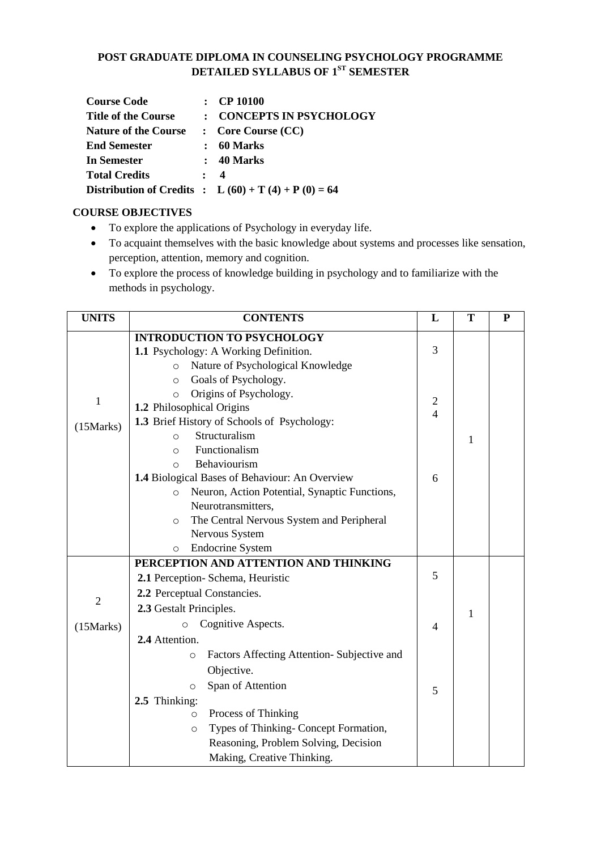#### **POST GRADUATE DIPLOMA IN COUNSELING PSYCHOLOGY PROGRAMME DETAILED SYLLABUS OF 1ST SEMESTER**

| <b>Course Code</b>          | $\therefore$ CP 10100                                       |
|-----------------------------|-------------------------------------------------------------|
| <b>Title of the Course</b>  | : CONCEPTS IN PSYCHOLOGY                                    |
| <b>Nature of the Course</b> | $\therefore$ Core Course (CC)                               |
| <b>End Semester</b>         | : 60 Marks                                                  |
| <b>In Semester</b>          | $: 40$ Marks                                                |
| <b>Total Credits</b>        | $\cdot$ 4                                                   |
|                             | <b>Distribution of Credits</b> : $L(60) + T(4) + P(0) = 64$ |

#### **COURSE OBJECTIVES**

- To explore the applications of Psychology in everyday life.
- To acquaint themselves with the basic knowledge about systems and processes like sensation, perception, attention, memory and cognition.
- To explore the process of knowledge building in psychology and to familiarize with the methods in psychology.

| <b>UNITS</b> | <b>CONTENTS</b>                                          | L                                | T            | ${\bf P}$ |
|--------------|----------------------------------------------------------|----------------------------------|--------------|-----------|
|              | <b>INTRODUCTION TO PSYCHOLOGY</b>                        |                                  |              |           |
|              | 1.1 Psychology: A Working Definition.                    | 3                                |              |           |
|              | Nature of Psychological Knowledge<br>$\circ$             |                                  |              |           |
|              | Goals of Psychology.<br>$\circ$                          |                                  |              |           |
| $\mathbf{1}$ | Origins of Psychology.<br>$\circ$                        |                                  |              |           |
|              | 1.2 Philosophical Origins                                | $\overline{c}$<br>$\overline{4}$ |              |           |
| (15 Marks)   | 1.3 Brief History of Schools of Psychology:              |                                  |              |           |
|              | Structuralism<br>$\circ$                                 |                                  | 1            |           |
|              | Functionalism<br>$\Omega$                                |                                  |              |           |
|              | Behaviourism<br>$\circ$                                  |                                  |              |           |
|              | 1.4 Biological Bases of Behaviour: An Overview           | 6                                |              |           |
|              | Neuron, Action Potential, Synaptic Functions,<br>$\circ$ |                                  |              |           |
|              | Neurotransmitters,                                       |                                  |              |           |
|              | The Central Nervous System and Peripheral<br>$\circ$     |                                  |              |           |
|              | Nervous System                                           |                                  |              |           |
|              | <b>Endocrine System</b><br>$\circ$                       |                                  |              |           |
|              | PERCEPTION AND ATTENTION AND THINKING                    |                                  |              |           |
|              | 2.1 Perception- Schema, Heuristic                        | 5                                |              |           |
| $\mathbf{2}$ | 2.2 Perceptual Constancies.                              |                                  |              |           |
|              | 2.3 Gestalt Principles.                                  |                                  | $\mathbf{1}$ |           |
| (15 Marks)   | Cognitive Aspects.<br>$\circ$                            | 4                                |              |           |
|              | 2.4 Attention.                                           |                                  |              |           |
|              | Factors Affecting Attention-Subjective and<br>$\circ$    |                                  |              |           |
|              | Objective.                                               |                                  |              |           |
|              | Span of Attention<br>$\circ$                             |                                  |              |           |
|              | 2.5 Thinking:                                            | 5                                |              |           |
|              | Process of Thinking<br>$\circ$                           |                                  |              |           |
|              | Types of Thinking-Concept Formation,<br>$\circ$          |                                  |              |           |
|              | Reasoning, Problem Solving, Decision                     |                                  |              |           |
|              | Making, Creative Thinking.                               |                                  |              |           |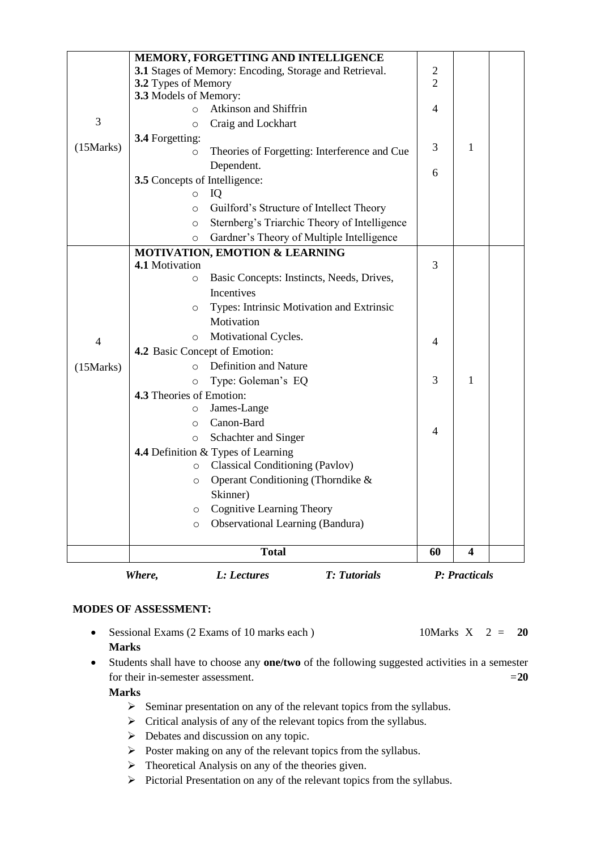|                                              | MEMORY, FORGETTING AND INTELLIGENCE                    |                                           |                                              |                |                         |  |  |  |
|----------------------------------------------|--------------------------------------------------------|-------------------------------------------|----------------------------------------------|----------------|-------------------------|--|--|--|
|                                              | 3.1 Stages of Memory: Encoding, Storage and Retrieval. | $\overline{c}$                            |                                              |                |                         |  |  |  |
|                                              | 3.2 Types of Memory                                    |                                           |                                              | $\overline{2}$ |                         |  |  |  |
|                                              | 3.3 Models of Memory:                                  |                                           |                                              |                |                         |  |  |  |
|                                              | $\circ$                                                | Atkinson and Shiffrin                     |                                              | $\overline{4}$ |                         |  |  |  |
| 3                                            | $\circ$                                                | Craig and Lockhart                        |                                              |                |                         |  |  |  |
|                                              | 3.4 Forgetting:                                        |                                           |                                              | 3              |                         |  |  |  |
| (15 Marks)                                   | O                                                      |                                           | Theories of Forgetting: Interference and Cue |                | 1                       |  |  |  |
|                                              |                                                        | Dependent.                                |                                              | 6              |                         |  |  |  |
|                                              | 3.5 Concepts of Intelligence:                          |                                           |                                              |                |                         |  |  |  |
|                                              | $\circ$                                                | IQ                                        |                                              |                |                         |  |  |  |
|                                              | $\circ$                                                |                                           | Guilford's Structure of Intellect Theory     |                |                         |  |  |  |
|                                              | $\circ$                                                |                                           | Sternberg's Triarchic Theory of Intelligence |                |                         |  |  |  |
|                                              | $\circ$                                                |                                           | Gardner's Theory of Multiple Intelligence    |                |                         |  |  |  |
|                                              |                                                        | <b>MOTIVATION, EMOTION &amp; LEARNING</b> |                                              |                |                         |  |  |  |
|                                              | 4.1 Motivation                                         |                                           |                                              | 3              |                         |  |  |  |
|                                              | $\circ$                                                |                                           | Basic Concepts: Instincts, Needs, Drives,    |                |                         |  |  |  |
|                                              |                                                        | <b>Incentives</b>                         |                                              |                |                         |  |  |  |
|                                              | O                                                      |                                           | Types: Intrinsic Motivation and Extrinsic    |                |                         |  |  |  |
|                                              |                                                        | Motivation                                |                                              |                |                         |  |  |  |
| $\overline{4}$                               | $\circ$                                                | Motivational Cycles.                      |                                              | 4              |                         |  |  |  |
|                                              |                                                        | 4.2 Basic Concept of Emotion:             |                                              |                |                         |  |  |  |
| (15 Marks)                                   | $\Omega$                                               | <b>Definition and Nature</b>              |                                              |                |                         |  |  |  |
|                                              | $\circ$                                                | Type: Goleman's EQ                        |                                              | 3              | 1                       |  |  |  |
|                                              | <b>4.3</b> Theories of Emotion:                        |                                           |                                              |                |                         |  |  |  |
|                                              | $\circ$                                                | James-Lange                               |                                              |                |                         |  |  |  |
|                                              | $\circ$                                                | Canon-Bard                                |                                              | $\overline{4}$ |                         |  |  |  |
|                                              | $\circ$                                                | Schachter and Singer                      |                                              |                |                         |  |  |  |
|                                              |                                                        | 4.4 Definition & Types of Learning        |                                              |                |                         |  |  |  |
|                                              | $\circ$                                                | <b>Classical Conditioning (Pavlov)</b>    |                                              |                |                         |  |  |  |
|                                              | O                                                      |                                           | Operant Conditioning (Thorndike &            |                |                         |  |  |  |
|                                              |                                                        | Skinner)                                  |                                              |                |                         |  |  |  |
|                                              | O                                                      | <b>Cognitive Learning Theory</b>          |                                              |                |                         |  |  |  |
|                                              | $\circ$                                                | <b>Observational Learning (Bandura)</b>   |                                              |                |                         |  |  |  |
|                                              |                                                        |                                           |                                              |                |                         |  |  |  |
|                                              |                                                        | <b>Total</b>                              |                                              | 60             | $\overline{\mathbf{4}}$ |  |  |  |
| <b>T:</b> Tutorials<br>Where,<br>L: Lectures |                                                        |                                           |                                              | P: Practicals  |                         |  |  |  |

- Sessional Exams (2 Exams of 10 marks each ) 10Marks X 2 = **20 Marks**
- Students shall have to choose any **one/two** of the following suggested activities in a semester for their in-semester assessment.  $=20$

**Marks**

- $\triangleright$  Seminar presentation on any of the relevant topics from the syllabus.
- $\triangleright$  Critical analysis of any of the relevant topics from the syllabus.
- $\triangleright$  Debates and discussion on any topic.
- $\triangleright$  Poster making on any of the relevant topics from the syllabus.
- $\triangleright$  Theoretical Analysis on any of the theories given.
- $\triangleright$  Pictorial Presentation on any of the relevant topics from the syllabus.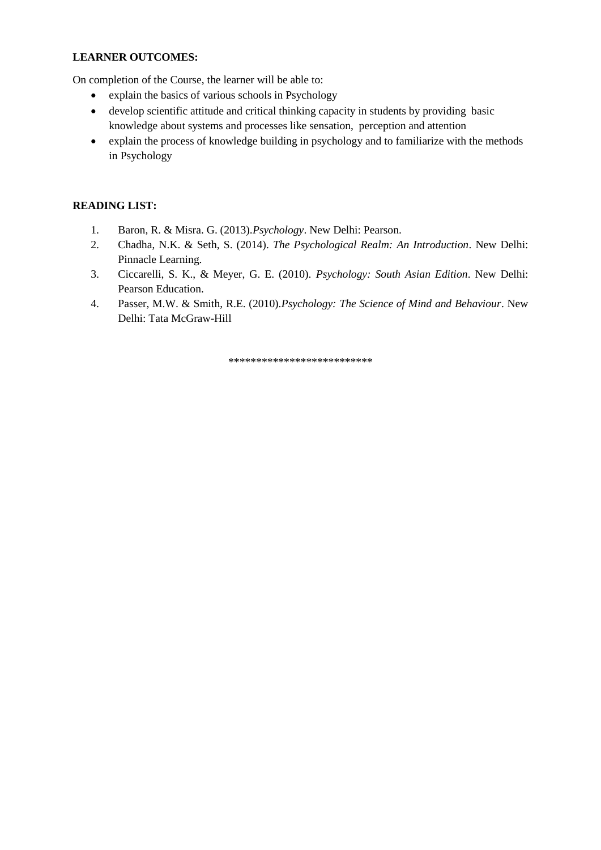#### **LEARNER OUTCOMES:**

On completion of the Course, the learner will be able to:

- explain the basics of various schools in Psychology
- develop scientific attitude and critical thinking capacity in students by providing basic knowledge about systems and processes like sensation, perception and attention
- explain the process of knowledge building in psychology and to familiarize with the methods in Psychology

#### **READING LIST:**

- 1. Baron, R. & Misra. G. (2013).*Psychology*. New Delhi: Pearson.
- 2. Chadha, N.K. & Seth, S. (2014). *The Psychological Realm: An Introduction*. New Delhi: Pinnacle Learning.
- 3. Ciccarelli, S. K., & Meyer, G. E. (2010). *Psychology: South Asian Edition*. New Delhi: Pearson Education.
- 4. Passer, M.W. & Smith, R.E. (2010).*Psychology: The Science of Mind and Behaviour*. New Delhi: Tata McGraw-Hill

\*\*\*\*\*\*\*\*\*\*\*\*\*\*\*\*\*\*\*\*\*\*\*\*\*\*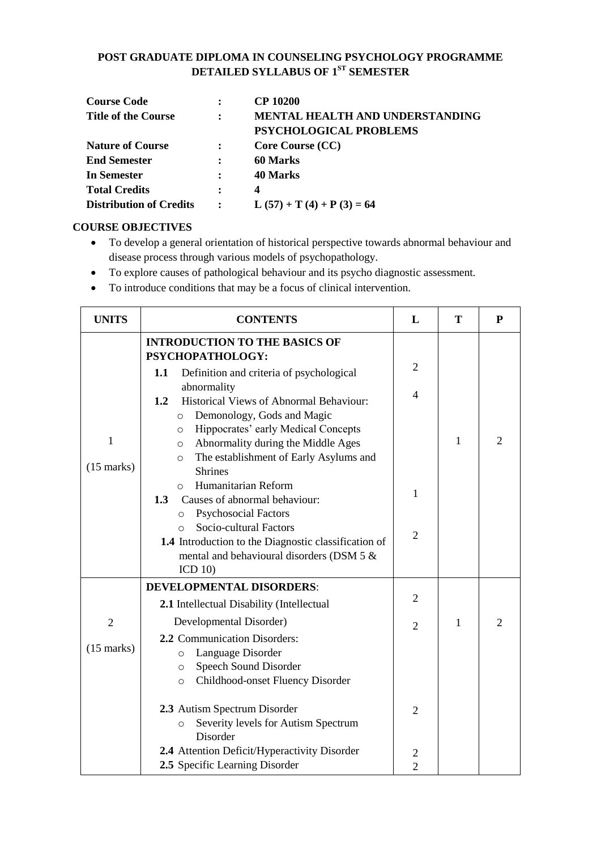#### **POST GRADUATE DIPLOMA IN COUNSELING PSYCHOLOGY PROGRAMME DETAILED SYLLABUS OF 1ST SEMESTER**

| <b>Course Code</b>             |                      | <b>CP 10200</b>                 |
|--------------------------------|----------------------|---------------------------------|
| <b>Title of the Course</b>     | $\ddot{\phantom{a}}$ | MENTAL HEALTH AND UNDERSTANDING |
|                                |                      | PSYCHOLOGICAL PROBLEMS          |
| <b>Nature of Course</b>        |                      | Core Course (CC)                |
| <b>End Semester</b>            | $\ddot{\cdot}$       | 60 Marks                        |
| <b>In Semester</b>             |                      | 40 Marks                        |
| <b>Total Credits</b>           | $\ddot{\cdot}$       | $\boldsymbol{4}$                |
| <b>Distribution of Credits</b> |                      | $L (57) + T (4) + P (3) = 64$   |

#### **COURSE OBJECTIVES**

- To develop a general orientation of historical perspective towards abnormal behaviour and disease process through various models of psychopathology.
- To explore causes of pathological behaviour and its psycho diagnostic assessment.
- To introduce conditions that may be a focus of clinical intervention.

| <b>UNITS</b>   | <b>CONTENTS</b>                                                                                    | L                                | T            | P |
|----------------|----------------------------------------------------------------------------------------------------|----------------------------------|--------------|---|
|                | <b>INTRODUCTION TO THE BASICS OF</b><br>PSYCHOPATHOLOGY:                                           |                                  |              |   |
|                | 1.1<br>Definition and criteria of psychological<br>abnormality                                     | $\overline{2}$                   |              |   |
|                | <b>Historical Views of Abnormal Behaviour:</b><br>1.2<br>Demonology, Gods and Magic<br>$\circ$     | 4                                |              |   |
| $\mathbf{1}$   | Hippocrates' early Medical Concepts<br>$\circ$                                                     |                                  | $\mathbf{1}$ | 2 |
|                | Abnormality during the Middle Ages<br>$\circ$<br>The establishment of Early Asylums and<br>$\circ$ |                                  |              |   |
| $(15$ marks)   | <b>Shrines</b><br>Humanitarian Reform<br>$\circ$                                                   |                                  |              |   |
|                | Causes of abnormal behaviour:<br>1.3                                                               | 1                                |              |   |
|                | <b>Psychosocial Factors</b><br>$\circ$<br>Socio-cultural Factors<br>$\Omega$                       | $\overline{2}$                   |              |   |
|                | 1.4 Introduction to the Diagnostic classification of<br>mental and behavioural disorders (DSM 5 &  |                                  |              |   |
|                | ICD 10                                                                                             |                                  |              |   |
|                | <b>DEVELOPMENTAL DISORDERS:</b>                                                                    |                                  |              |   |
|                | 2.1 Intellectual Disability (Intellectual                                                          | $\overline{2}$                   |              |   |
| $\overline{2}$ | Developmental Disorder)                                                                            | $\overline{2}$                   | 1            | 2 |
|                | 2.2 Communication Disorders:                                                                       |                                  |              |   |
| $(15$ marks)   | Language Disorder<br>$\circ$                                                                       |                                  |              |   |
|                | Speech Sound Disorder<br>$\circ$<br>Childhood-onset Fluency Disorder                               |                                  |              |   |
|                | $\circ$                                                                                            |                                  |              |   |
|                | 2.3 Autism Spectrum Disorder                                                                       | $\overline{2}$                   |              |   |
|                | Severity levels for Autism Spectrum<br>$\circ$                                                     |                                  |              |   |
|                | Disorder                                                                                           |                                  |              |   |
|                | 2.4 Attention Deficit/Hyperactivity Disorder<br>2.5 Specific Learning Disorder                     | $\overline{c}$<br>$\overline{2}$ |              |   |
|                |                                                                                                    |                                  |              |   |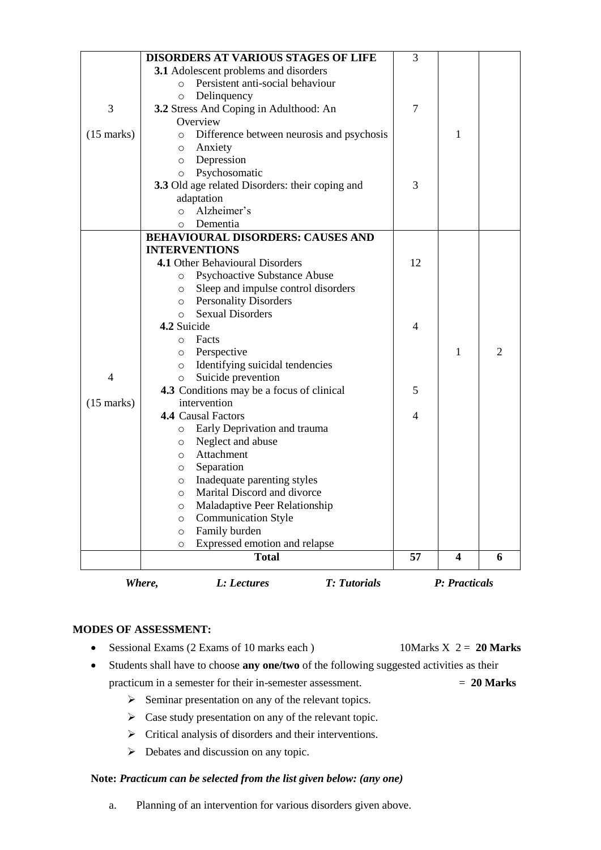|                      | <b>DISORDERS AT VARIOUS STAGES OF LIFE</b>           | 3              |                         |                |
|----------------------|------------------------------------------------------|----------------|-------------------------|----------------|
|                      | 3.1 Adolescent problems and disorders                |                |                         |                |
|                      | Persistent anti-social behaviour<br>$\circ$          |                |                         |                |
|                      | Delinquency<br>$\circ$                               |                |                         |                |
| 3                    | 3.2 Stress And Coping in Adulthood: An               | $\overline{7}$ |                         |                |
|                      | Overview                                             |                |                         |                |
| $(15 \text{ marks})$ | Difference between neurosis and psychosis<br>$\circ$ |                | 1                       |                |
|                      | Anxiety<br>O                                         |                |                         |                |
|                      | Depression<br>$\circ$                                |                |                         |                |
|                      | Psychosomatic<br>$\circ$                             |                |                         |                |
|                      | 3.3 Old age related Disorders: their coping and      | 3              |                         |                |
|                      | adaptation                                           |                |                         |                |
|                      | Alzheimer's<br>$\circ$                               |                |                         |                |
|                      | Dementia<br>O                                        |                |                         |                |
|                      | <b>BEHAVIOURAL DISORDERS: CAUSES AND</b>             |                |                         |                |
|                      | <b>INTERVENTIONS</b>                                 |                |                         |                |
|                      | 4.1 Other Behavioural Disorders                      | 12             |                         |                |
|                      | <b>Psychoactive Substance Abuse</b><br>O             |                |                         |                |
|                      | Sleep and impulse control disorders<br>$\circ$       |                |                         |                |
|                      | o Personality Disorders                              |                |                         |                |
|                      | <b>Sexual Disorders</b><br>$\circ$                   |                |                         |                |
|                      | 4.2 Suicide                                          | 4              |                         |                |
|                      | Facts<br>O                                           |                |                         |                |
|                      | Perspective<br>O                                     |                | 1                       | $\mathfrak{D}$ |
|                      | Identifying suicidal tendencies<br>$\circ$           |                |                         |                |
| $\overline{4}$       | Suicide prevention<br>$\circ$                        |                |                         |                |
|                      | 4.3 Conditions may be a focus of clinical            | 5              |                         |                |
| $(15 \text{ marks})$ | intervention                                         |                |                         |                |
|                      | <b>4.4 Causal Factors</b>                            | $\overline{4}$ |                         |                |
|                      | Early Deprivation and trauma<br>$\circ$              |                |                         |                |
|                      | Neglect and abuse<br>O                               |                |                         |                |
|                      | Attachment<br>O                                      |                |                         |                |
|                      | Separation<br>O                                      |                |                         |                |
|                      | Inadequate parenting styles<br>$\circ$               |                |                         |                |
|                      | Marital Discord and divorce<br>O                     |                |                         |                |
|                      | Maladaptive Peer Relationship<br>O                   |                |                         |                |
|                      | <b>Communication Style</b><br>$\circ$                |                |                         |                |
|                      | Family burden<br>$\circ$                             |                |                         |                |
|                      | Expressed emotion and relapse<br>O                   |                |                         |                |
|                      | <b>Total</b>                                         | 57             | $\overline{\mathbf{4}}$ | 6              |
|                      | Where,<br>L: Lectures<br><b>T:</b> Tutorials         |                | P: Practicals           |                |

Sessional Exams (2 Exams of 10 marks each ) 10Marks X 2 = **20 Marks**

- Students shall have to choose **any one/two** of the following suggested activities as their practicum in a semester for their in-semester assessment. = **20 Marks**
	- $\triangleright$  Seminar presentation on any of the relevant topics.
	- $\triangleright$  Case study presentation on any of the relevant topic.
	- $\triangleright$  Critical analysis of disorders and their interventions.
	- $\triangleright$  Debates and discussion on any topic.

#### **Note:** *Practicum can be selected from the list given below: (any one)*

a. Planning of an intervention for various disorders given above.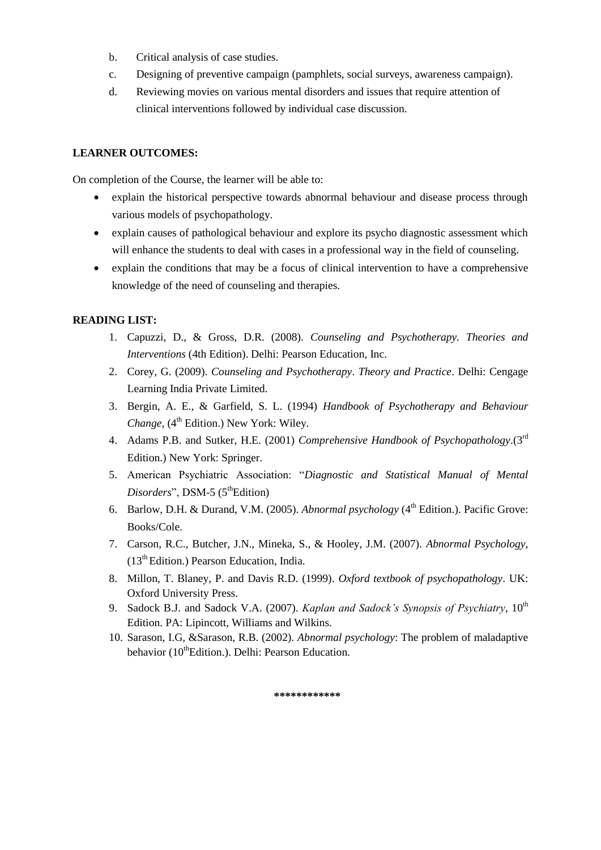- b. Critical analysis of case studies.
- c. Designing of preventive campaign (pamphlets, social surveys, awareness campaign).
- d. Reviewing movies on various mental disorders and issues that require attention of clinical interventions followed by individual case discussion.

#### **LEARNER OUTCOMES:**

On completion of the Course, the learner will be able to:

- explain the historical perspective towards abnormal behaviour and disease process through various models of psychopathology.
- explain causes of pathological behaviour and explore its psycho diagnostic assessment which will enhance the students to deal with cases in a professional way in the field of counseling.
- explain the conditions that may be a focus of clinical intervention to have a comprehensive knowledge of the need of counseling and therapies.

#### **READING LIST:**

- 1. Capuzzi, D., & Gross, D.R. (2008). *Counseling and Psychotherapy. Theories and Interventions* (4th Edition). Delhi: Pearson Education, Inc.
- 2. Corey, G. (2009). *Counseling and Psychotherapy*. *Theory and Practice*. Delhi: Cengage Learning India Private Limited.
- 3. Bergin, A. E., & Garfield, S. L. (1994) *Handbook of Psychotherapy and Behaviour Change*, (4<sup>th</sup> Edition.) New York: Wiley.
- 4. Adams P.B. and Sutker, H.E. (2001) *Comprehensive Handbook of Psychopathology*.(3rd Edition.) New York: Springer.
- 5. American Psychiatric Association: "*Diagnostic and Statistical Manual of Mental Disorders*", DSM-5 (5<sup>th</sup>Edition)
- 6. Barlow, D.H. & Durand, V.M. (2005). *Abnormal psychology* (4<sup>th</sup> Edition.). Pacific Grove: Books/Cole.
- 7. Carson, R.C., Butcher, J.N., Mineka, S., & Hooley, J.M. (2007). *Abnormal Psychology*,  $(13<sup>th</sup> Edition.)$  Pearson Education, India.
- 8. Millon, T. Blaney, P. and Davis R.D. (1999). *Oxford textbook of psychopathology*. UK: Oxford University Press.
- 9. Sadock B.J. and Sadock V.A. (2007). *Kaplan and Sadock's Synopsis of Psychiatry*, 10<sup>th</sup> Edition. PA: Lipincott, Williams and Wilkins.
- 10. Sarason, I.G, &Sarason, R.B. (2002). *Abnormal psychology*: The problem of maladaptive behavior (10<sup>th</sup>Edition.). Delhi: Pearson Education.

**\*\*\*\*\*\*\*\*\*\*\*\***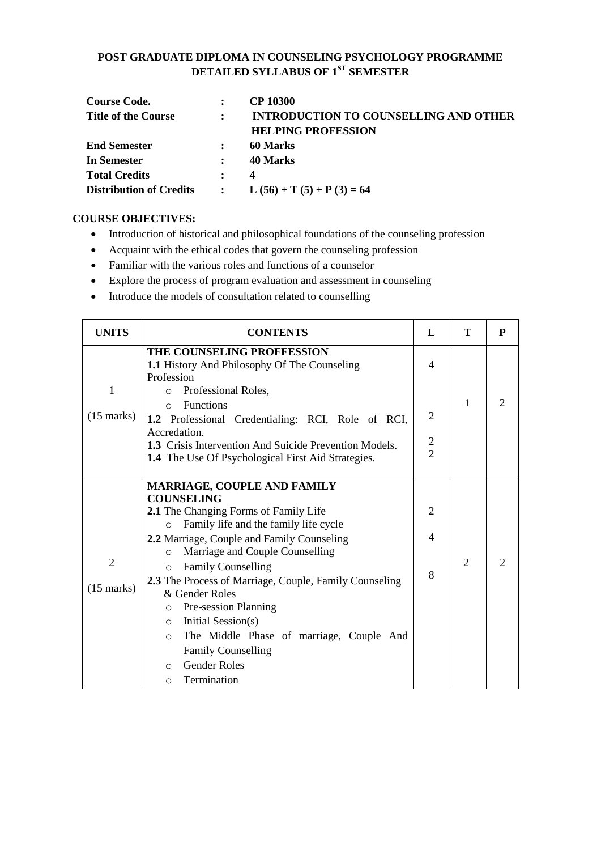#### **POST GRADUATE DIPLOMA IN COUNSELING PSYCHOLOGY PROGRAMME DETAILED SYLLABUS OF 1ST SEMESTER**

| <b>Course Code.</b>            |                      | CP 10300                                     |
|--------------------------------|----------------------|----------------------------------------------|
| <b>Title of the Course</b>     | $\ddot{\phantom{a}}$ | <b>INTRODUCTION TO COUNSELLING AND OTHER</b> |
|                                |                      | <b>HELPING PROFESSION</b>                    |
| <b>End Semester</b>            |                      | 60 Marks                                     |
| In Semester                    |                      | 40 Marks                                     |
| <b>Total Credits</b>           | $\mathbf{r}$         | 4                                            |
| <b>Distribution of Credits</b> | $\ddot{\phantom{a}}$ | $L (56) + T (5) + P (3) = 64$                |

#### **COURSE OBJECTIVES:**

- Introduction of historical and philosophical foundations of the counseling profession
- Acquaint with the ethical codes that govern the counseling profession
- Familiar with the various roles and functions of a counselor
- Explore the process of program evaluation and assessment in counseling
- Introduce the models of consultation related to counselling

| <b>UNITS</b>                           | <b>CONTENTS</b>                                                                                                                                                                                                                                                                                                                                                                                                                                                                                                                                                                   | L                                    | T              | P |
|----------------------------------------|-----------------------------------------------------------------------------------------------------------------------------------------------------------------------------------------------------------------------------------------------------------------------------------------------------------------------------------------------------------------------------------------------------------------------------------------------------------------------------------------------------------------------------------------------------------------------------------|--------------------------------------|----------------|---|
| 1<br>$(15 \text{ marks})$              | <b>THE COUNSELING PROFFESSION</b><br><b>1.1 History And Philosophy Of The Counseling</b><br>Profession<br>Professional Roles,<br>$\circ$<br><b>Functions</b><br>$\circ$<br>1.2 Professional Credentialing: RCI, Role of RCI,<br>Accredation.<br><b>1.3</b> Crisis Intervention And Suicide Prevention Models.<br><b>1.4</b> The Use Of Psychological First Aid Strategies.                                                                                                                                                                                                        | 4<br>$\overline{2}$<br>$\frac{2}{2}$ | 1              | 2 |
| $\overline{2}$<br>$(15 \text{ marks})$ | MARRIAGE, COUPLE AND FAMILY<br><b>COUNSELING</b><br>2.1 The Changing Forms of Family Life<br>Family life and the family life cycle<br>$\circ$<br>2.2 Marriage, Couple and Family Counseling<br>Marriage and Couple Counselling<br>$\circ$<br><b>Family Counselling</b><br>$\circ$<br>2.3 The Process of Marriage, Couple, Family Counseling<br>& Gender Roles<br>Pre-session Planning<br>$\circ$<br>Initial Session(s)<br>$\circ$<br>The Middle Phase of marriage, Couple And<br>$\circ$<br><b>Family Counselling</b><br><b>Gender Roles</b><br>$\circ$<br>Termination<br>$\circ$ | 2<br>$\overline{\mathcal{A}}$<br>8   | $\overline{2}$ | 2 |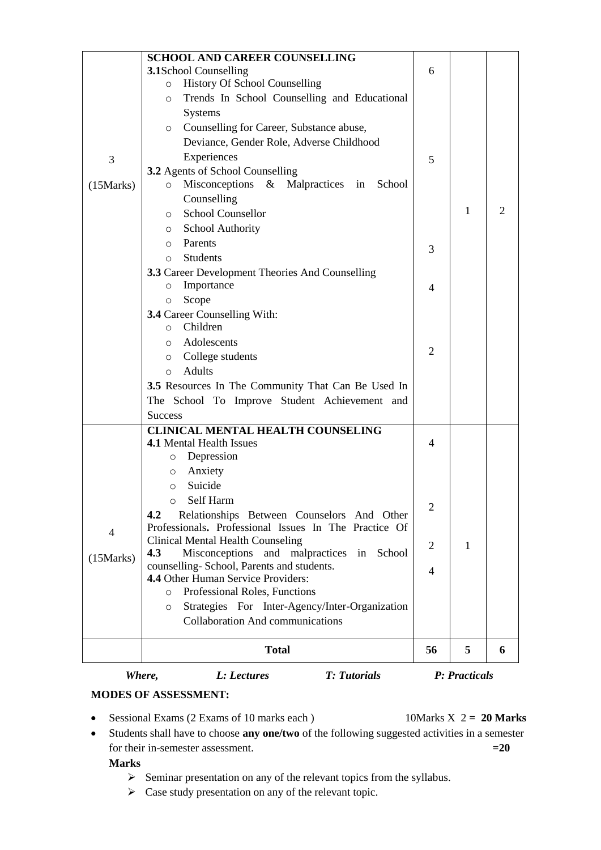|            | <b>SCHOOL AND CAREER COUNSELLING</b>                                                                       |    |              |   |
|------------|------------------------------------------------------------------------------------------------------------|----|--------------|---|
|            | <b>3.1School Counselling</b>                                                                               | 6  |              |   |
|            | <b>History Of School Counselling</b><br>$\circ$                                                            |    |              |   |
|            | Trends In School Counselling and Educational<br>$\circ$                                                    |    |              |   |
|            | <b>Systems</b>                                                                                             |    |              |   |
|            | Counselling for Career, Substance abuse,<br>$\circ$                                                        |    |              |   |
|            | Deviance, Gender Role, Adverse Childhood                                                                   |    |              |   |
|            | Experiences                                                                                                |    |              |   |
| 3          |                                                                                                            | 5  |              |   |
|            | 3.2 Agents of School Counselling<br>Misconceptions & Malpractices in<br>School                             |    |              |   |
| (15 Marks) | $\circ$<br>Counselling                                                                                     |    |              |   |
|            | <b>School Counsellor</b><br>$\circ$                                                                        |    | $\mathbf{1}$ | 2 |
|            | o School Authority                                                                                         |    |              |   |
|            | Parents<br>$\circ$                                                                                         |    |              |   |
|            | <b>Students</b><br>$\circ$                                                                                 | 3  |              |   |
|            | 3.3 Career Development Theories And Counselling                                                            |    |              |   |
|            | Importance<br>$\circ$                                                                                      |    |              |   |
|            | Scope                                                                                                      | 4  |              |   |
|            | O<br>3.4 Career Counselling With:                                                                          |    |              |   |
|            | Children<br>$\circ$                                                                                        |    |              |   |
|            | o Adolescents                                                                                              |    |              |   |
|            | College students<br>$\circ$                                                                                | 2  |              |   |
|            | <b>Adults</b><br>$\circ$                                                                                   |    |              |   |
|            |                                                                                                            |    |              |   |
|            | 3.5 Resources In The Community That Can Be Used In                                                         |    |              |   |
|            | The School To Improve Student Achievement and                                                              |    |              |   |
|            | <b>Success</b>                                                                                             |    |              |   |
|            | <b>CLINICAL MENTAL HEALTH COUNSELING</b><br><b>4.1 Mental Health Issues</b>                                | 4  |              |   |
|            | Depression<br>O                                                                                            |    |              |   |
|            | Anxiety                                                                                                    |    |              |   |
|            | O<br>Suicide                                                                                               |    |              |   |
|            | O                                                                                                          |    |              |   |
|            | Self Harm<br>$\circ$                                                                                       | 2  |              |   |
|            | Relationships Between Counselors And Other<br>4.2<br>Professionals. Professional Issues In The Practice Of |    |              |   |
| 4          |                                                                                                            |    |              |   |
|            | <b>Clinical Mental Health Counseling</b><br>Misconceptions and malpractices in<br>4.3<br>School            | 2  | 1            |   |
| (15 Marks) | counselling-School, Parents and students.                                                                  |    |              |   |
|            | 4.4 Other Human Service Providers:                                                                         | 4  |              |   |
|            | Professional Roles, Functions<br>$\circ$                                                                   |    |              |   |
|            | Strategies For Inter-Agency/Inter-Organization<br>$\circ$                                                  |    |              |   |
|            | <b>Collaboration And communications</b>                                                                    |    |              |   |
|            |                                                                                                            |    |              |   |
|            | <b>Total</b>                                                                                               | 56 | 5            | 6 |
|            |                                                                                                            |    |              |   |

*Where, L: Lectures T: Tutorials P: Practicals*

#### **MODES OF ASSESSMENT:**

Sessional Exams (2 Exams of 10 marks each ) 10Marks X 2 **= 20 Marks**

 Students shall have to choose **any one/two** of the following suggested activities in a semester for their in-semester assessment.**=20** 

#### **Marks**

- $\triangleright$  Seminar presentation on any of the relevant topics from the syllabus.
- $\triangleright$  Case study presentation on any of the relevant topic.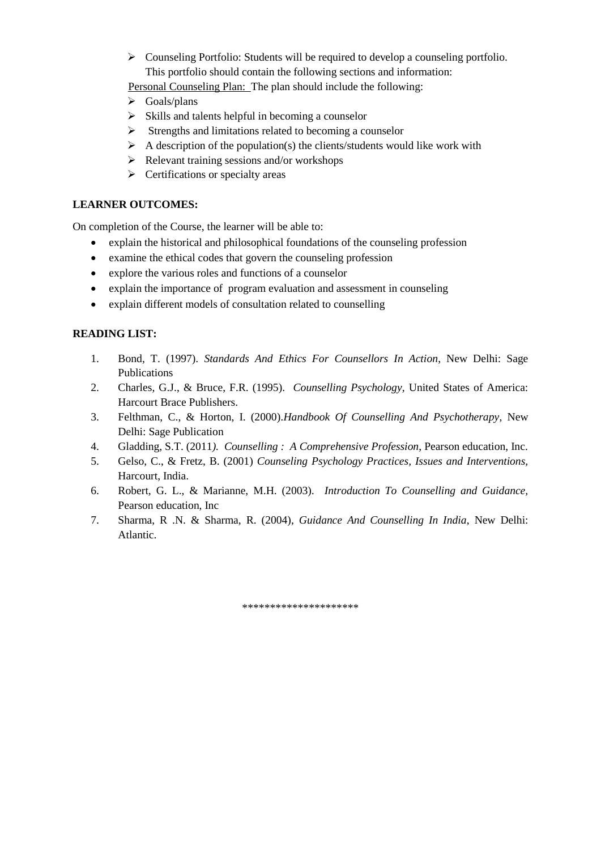Counseling Portfolio: Students will be required to develop a counseling portfolio. This portfolio should contain the following sections and information:

Personal Counseling Plan: The plan should include the following:

- $\triangleright$  Goals/plans
- $\triangleright$  Skills and talents helpful in becoming a counselor
- $\triangleright$  Strengths and limitations related to becoming a counselor
- $\triangleright$  A description of the population(s) the clients/students would like work with
- $\triangleright$  Relevant training sessions and/or workshops
- $\triangleright$  Certifications or specialty areas

#### **LEARNER OUTCOMES:**

On completion of the Course, the learner will be able to:

- explain the historical and philosophical foundations of the counseling profession
- examine the ethical codes that govern the counseling profession
- explore the various roles and functions of a counselor
- explain the importance of program evaluation and assessment in counseling
- explain different models of consultation related to counselling

#### **READING LIST:**

- 1. Bond, T. (1997). *Standards And Ethics For Counsellors In Action*, New Delhi: Sage Publications
- 2. Charles, G.J., & Bruce, F.R. (1995). *Counselling Psychology,* United States of America: Harcourt Brace Publishers.
- 3. Felthman, C., & Horton, I. (2000).*Handbook Of Counselling And Psychotherapy*, New Delhi: Sage Publication
- 4. Gladding, S.T. (2011*). Counselling : A Comprehensive Profession*, Pearson education, Inc.
- 5. Gelso, C., & Fretz, B. (2001) *Counseling Psychology Practices, Issues and Interventions,* Harcourt, India.
- 6. Robert, G. L., & Marianne, M.H. (2003). *Introduction To Counselling and Guidance,* Pearson education, Inc
- 7. Sharma, R .N. & Sharma, R. (2004), *Guidance And Counselling In India*, New Delhi: Atlantic.

\*\*\*\*\*\*\*\*\*\*\*\*\*\*\*\*\*\*\*\*\*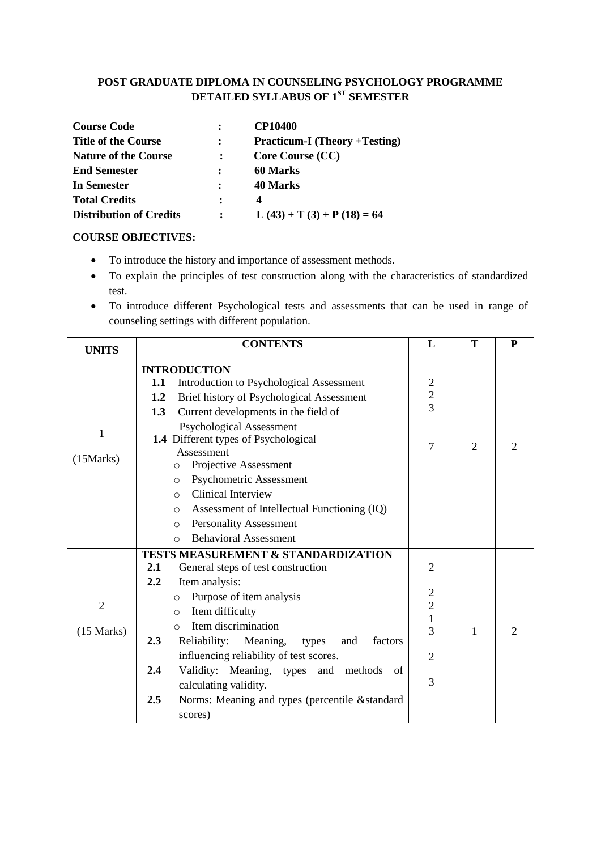### **POST GRADUATE DIPLOMA IN COUNSELING PSYCHOLOGY PROGRAMME DETAILED SYLLABUS OF 1ST SEMESTER**

| <b>Course Code</b>             | <b>CP10400</b>                       |
|--------------------------------|--------------------------------------|
| <b>Title of the Course</b>     | <b>Practicum-I</b> (Theory +Testing) |
| <b>Nature of the Course</b>    | <b>Core Course (CC)</b>              |
| <b>End Semester</b>            | <b>60 Marks</b>                      |
| In Semester                    | 40 Marks                             |
| <b>Total Credits</b>           | 4                                    |
| <b>Distribution of Credits</b> | $L(43) + T(3) + P(18) = 64$          |

#### **COURSE OBJECTIVES:**

- To introduce the history and importance of assessment methods.
- To explain the principles of test construction along with the characteristics of standardized test.
- To introduce different Psychological tests and assessments that can be used in range of counseling settings with different population.

| <b>UNITS</b>                   | <b>CONTENTS</b>                                                                                                                                                                                                                                                                                                                                                                                                                                                                                                           | L                                                                                                           | Т              | P |
|--------------------------------|---------------------------------------------------------------------------------------------------------------------------------------------------------------------------------------------------------------------------------------------------------------------------------------------------------------------------------------------------------------------------------------------------------------------------------------------------------------------------------------------------------------------------|-------------------------------------------------------------------------------------------------------------|----------------|---|
| 1<br>(15 Marks)                | <b>INTRODUCTION</b><br>1.1<br>Introduction to Psychological Assessment<br>Brief history of Psychological Assessment<br>1.2<br>Current developments in the field of<br>1.3<br>Psychological Assessment<br>1.4 Different types of Psychological<br>Assessment<br>Projective Assessment<br>O<br>Psychometric Assessment<br>$\circ$<br><b>Clinical Interview</b><br>$\circ$<br>Assessment of Intellectual Functioning (IQ)<br>$\circ$<br><b>Personality Assessment</b><br>$\circ$<br><b>Behavioral Assessment</b><br>$\Omega$ | $\overline{c}$<br>$\frac{2}{3}$<br>7                                                                        | $\overline{2}$ | 2 |
| $\overline{2}$<br>$(15$ Marks) | <b>TESTS MEASUREMENT &amp; STANDARDIZATION</b><br>2.1<br>General steps of test construction<br>2.2<br>Item analysis:<br>Purpose of item analysis<br>$\circ$<br>Item difficulty<br>$\circ$<br>Item discrimination<br>$\bigcap$<br>Reliability: Meaning,<br>2.3<br>factors<br>types<br>and<br>influencing reliability of test scores.<br>2.4<br>Validity: Meaning, types and methods<br>of<br>calculating validity.<br>2.5<br>Norms: Meaning and types (percentile &standard<br>scores)                                     | $\overline{2}$<br>$\overline{c}$<br>$\overline{c}$<br>$\mathbf{1}$<br>$\overline{3}$<br>$\overline{2}$<br>3 | $\mathbf{1}$   | 2 |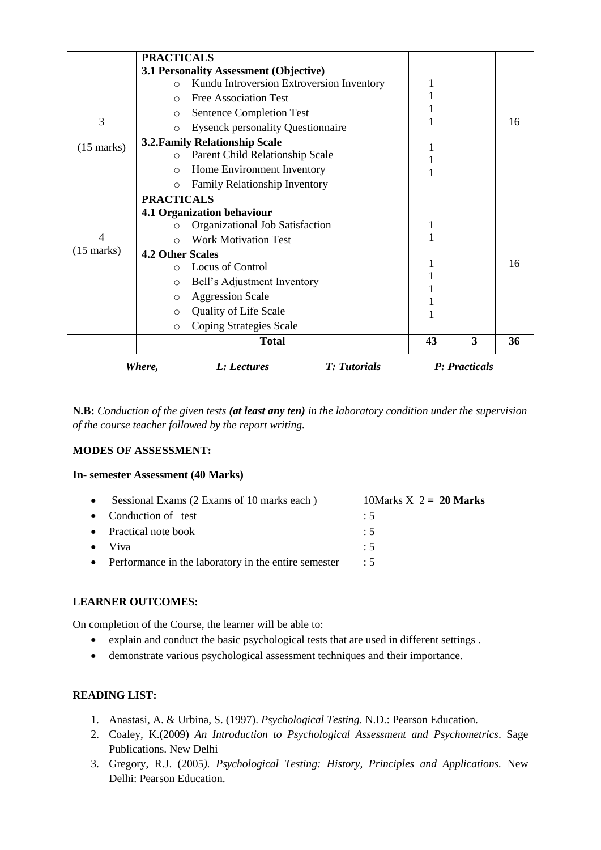|                      | <b>PRACTICALS</b>       |                                           |    |               |    |
|----------------------|-------------------------|-------------------------------------------|----|---------------|----|
|                      |                         | 3.1 Personality Assessment (Objective)    |    |               |    |
|                      | $\circ$                 | Kundu Introversion Extroversion Inventory | 1  |               |    |
|                      | $\bigcirc$              | <b>Free Association Test</b>              |    |               |    |
|                      | $\circ$                 | <b>Sentence Completion Test</b>           |    |               |    |
| 3                    | $\circ$                 | <b>Eysenck personality Questionnaire</b>  |    |               | 16 |
| $(15 \text{ marks})$ |                         | <b>3.2. Family Relationship Scale</b>     |    |               |    |
|                      | $\circ$                 | Parent Child Relationship Scale           |    |               |    |
|                      | $\circ$                 | Home Environment Inventory                |    |               |    |
|                      | $\circ$                 | Family Relationship Inventory             |    |               |    |
|                      | <b>PRACTICALS</b>       |                                           |    |               |    |
|                      |                         | 4.1 Organization behaviour                |    |               |    |
|                      | O                       | Organizational Job Satisfaction           | 1  |               |    |
| 4                    | O                       | <b>Work Motivation Test</b>               |    |               |    |
| $(15 \text{ marks})$ | <b>4.2 Other Scales</b> |                                           |    |               |    |
|                      | $\circ$                 | <b>Locus of Control</b>                   |    |               | 16 |
|                      | $\circ$                 | Bell's Adjustment Inventory               |    |               |    |
|                      | $\circ$                 | <b>Aggression Scale</b>                   |    |               |    |
|                      | $\circ$                 | <b>Quality of Life Scale</b>              |    |               |    |
|                      | $\circ$                 | Coping Strategies Scale                   |    |               |    |
|                      |                         | <b>Total</b>                              | 43 | 3             | 36 |
|                      | Where,                  | <b>T:</b> Tutorials<br>L: Lectures        |    | P: Practicals |    |

**N.B:** *Conduction of the given tests (at least any ten) in the laboratory condition under the supervision of the course teacher followed by the report writing.*

#### **MODES OF ASSESSMENT:**

#### **In- semester Assessment (40 Marks)**

| $\bullet$ | Sessional Exams (2 Exams of 10 marks each)             | 10Marks $X$ 2 = 20 Marks |
|-----------|--------------------------------------------------------|--------------------------|
|           | • Conduction of test                                   | :5                       |
|           | • Practical note book                                  | $\therefore$ 5           |
|           | $\bullet$ Viva                                         | $\div$ 5                 |
|           | • Performance in the laboratory in the entire semester | $\therefore$ 5           |
|           |                                                        |                          |

#### **LEARNER OUTCOMES:**

On completion of the Course, the learner will be able to:

- explain and conduct the basic psychological tests that are used in different settings .
- demonstrate various psychological assessment techniques and their importance.

#### **READING LIST:**

- 1. Anastasi, A. & Urbina, S. (1997). *Psychological Testing*. N.D.: Pearson Education.
- 2. Coaley, K.(2009) *An Introduction to Psychological Assessment and Psychometrics*. Sage Publications. New Delhi
- 3. Gregory, R.J. (2005*). Psychological Testing: History, Principles and Applications.* New Delhi: Pearson Education.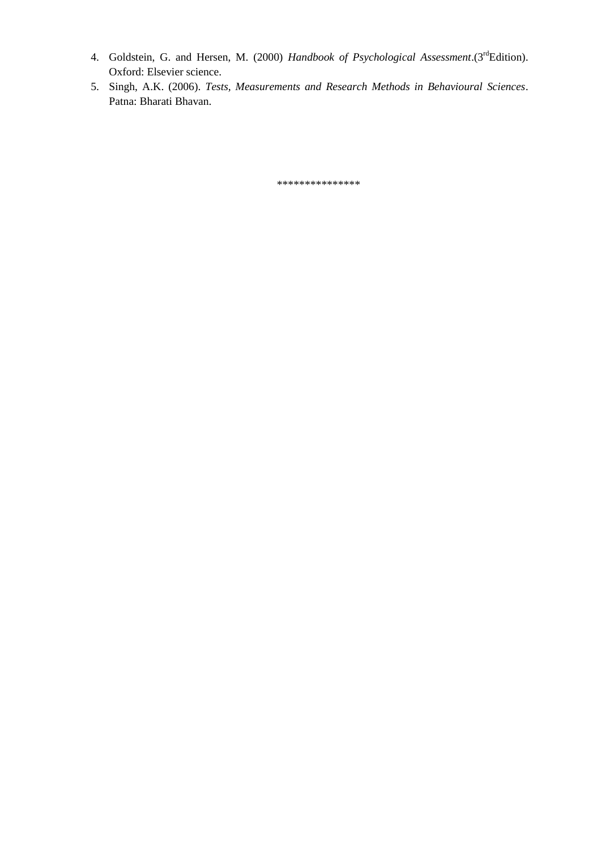- 4. Goldstein, G. and Hersen, M. (2000) *Handbook of Psychological Assessment*.(3<sup>rd</sup>Edition). Oxford: Elsevier science.
- 5. Singh, A.K. (2006). *Tests, Measurements and Research Methods in Behavioural Sciences*. Patna: Bharati Bhavan.

\*\*\*\*\*\*\*\*\*\*\*\*\*\*\*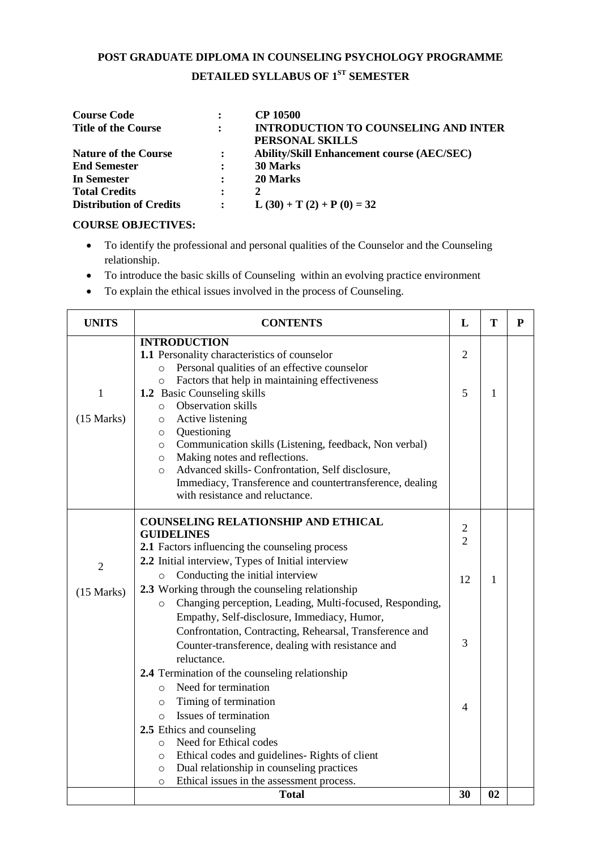# **POST GRADUATE DIPLOMA IN COUNSELING PSYCHOLOGY PROGRAMME DETAILED SYLLABUS OF 1ST SEMESTER**

| <b>Course Code</b>             | $\ddot{\phantom{a}}$ | <b>CP 10500</b>                                   |
|--------------------------------|----------------------|---------------------------------------------------|
| <b>Title of the Course</b>     | $\ddot{\cdot}$       | <b>INTRODUCTION TO COUNSELING AND INTER</b>       |
|                                |                      | PERSONAL SKILLS                                   |
| <b>Nature of the Course</b>    | $\mathbf{r}$         | <b>Ability/Skill Enhancement course (AEC/SEC)</b> |
| <b>End Semester</b>            | $\ddot{\cdot}$       | 30 Marks                                          |
| In Semester                    | $\ddot{\phantom{a}}$ | 20 Marks                                          |
| <b>Total Credits</b>           | $\ddot{\cdot}$       | 2                                                 |
| <b>Distribution of Credits</b> | $\ddot{\phantom{a}}$ | L $(30) + T(2) + P(0) = 32$                       |

#### **COURSE OBJECTIVES:**

- To identify the professional and personal qualities of the Counselor and the Counseling relationship.
- To introduce the basic skills of Counseling within an evolving practice environment
- To explain the ethical issues involved in the process of Counseling.

| <b>UNITS</b>                 | <b>CONTENTS</b>                                                                                                                                                                                                                                                                                                                                                                                                                                                                                                                                                                                     | L                              | T  | $\mathbf{P}$ |
|------------------------------|-----------------------------------------------------------------------------------------------------------------------------------------------------------------------------------------------------------------------------------------------------------------------------------------------------------------------------------------------------------------------------------------------------------------------------------------------------------------------------------------------------------------------------------------------------------------------------------------------------|--------------------------------|----|--------------|
| $\mathbf{1}$<br>(15 Marks)   | <b>INTRODUCTION</b><br>1.1 Personality characteristics of counselor<br>Personal qualities of an effective counselor<br>$\circ$<br>Factors that help in maintaining effectiveness<br>$\circ$<br>1.2 Basic Counseling skills<br>Observation skills<br>$\circ$<br>Active listening<br>$\circ$<br>Questioning<br>$\circ$<br>Communication skills (Listening, feedback, Non verbal)<br>$\circ$<br>Making notes and reflections.<br>$\circ$<br>Advanced skills- Confrontation, Self disclosure,<br>$\circ$<br>Immediacy, Transference and countertransference, dealing<br>with resistance and reluctance. | $\overline{2}$<br>5            | 1  |              |
|                              | <b>COUNSELING RELATIONSHIP AND ETHICAL</b><br><b>GUIDELINES</b><br>2.1 Factors influencing the counseling process<br>2.2 Initial interview, Types of Initial interview                                                                                                                                                                                                                                                                                                                                                                                                                              | $\mathbf{2}$<br>$\overline{2}$ |    |              |
| $\overline{2}$<br>(15 Marks) | Conducting the initial interview<br>$\circ$<br>2.3 Working through the counseling relationship<br>Changing perception, Leading, Multi-focused, Responding,<br>$\circ$<br>Empathy, Self-disclosure, Immediacy, Humor,<br>Confrontation, Contracting, Rehearsal, Transference and                                                                                                                                                                                                                                                                                                                     | 12                             | 1  |              |
|                              | Counter-transference, dealing with resistance and<br>reluctance.<br>2.4 Termination of the counseling relationship<br>Need for termination<br>$\Omega$                                                                                                                                                                                                                                                                                                                                                                                                                                              | 3                              |    |              |
|                              | Timing of termination<br>$\circ$<br>Issues of termination<br>$\circ$                                                                                                                                                                                                                                                                                                                                                                                                                                                                                                                                | $\overline{4}$                 |    |              |
|                              | 2.5 Ethics and counseling<br>Need for Ethical codes<br>$\circ$<br>Ethical codes and guidelines-Rights of client<br>$\circ$<br>Dual relationship in counseling practices<br>$\circ$<br>Ethical issues in the assessment process.<br>$\circ$                                                                                                                                                                                                                                                                                                                                                          |                                |    |              |
|                              | <b>Total</b>                                                                                                                                                                                                                                                                                                                                                                                                                                                                                                                                                                                        | 30                             | 02 |              |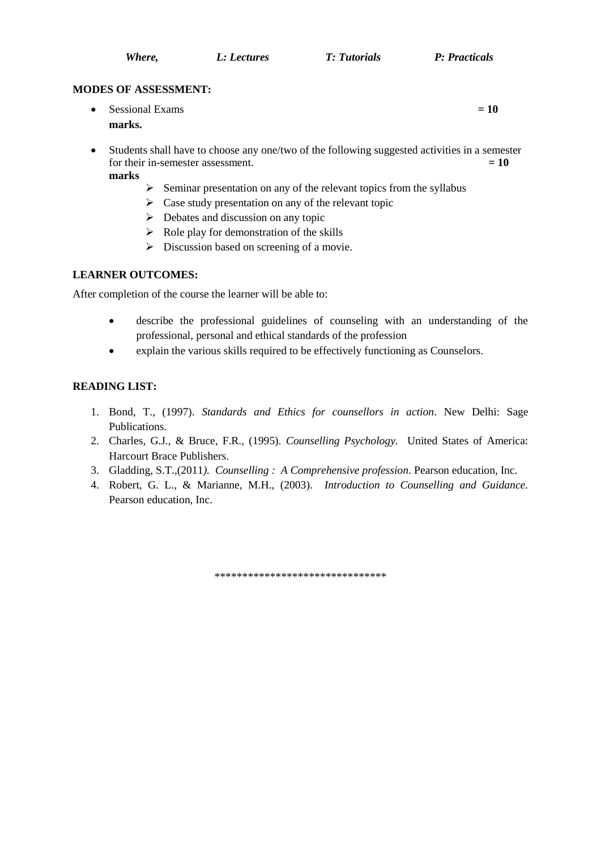*Where, L: Lectures T: Tutorials P: Practicals*

#### **MODES OF ASSESSMENT:**

- $\bullet$  Sessional Exams  $= 10$ **marks.**
- Students shall have to choose any one/two of the following suggested activities in a semester for their in-semester assessment.  $= 10$ **marks**
	- $\triangleright$  Seminar presentation on any of the relevant topics from the syllabus
	- $\triangleright$  Case study presentation on any of the relevant topic
	- $\triangleright$  Debates and discussion on any topic
	- $\triangleright$  Role play for demonstration of the skills
	- $\triangleright$  Discussion based on screening of a movie.

#### **LEARNER OUTCOMES:**

After completion of the course the learner will be able to:

- describe the professional guidelines of counseling with an understanding of the professional, personal and ethical standards of the profession
- explain the various skills required to be effectively functioning as Counselors.

#### **READING LIST:**

- 1. Bond, T., (1997). *Standards and Ethics for counsellors in action*. New Delhi: Sage Publications.
- 2. Charles, G.J., & Bruce, F.R., (1995). *Counselling Psychology.* United States of America: Harcourt Brace Publishers.
- 3. Gladding, S.T.,(2011*). Counselling : A Comprehensive profession*. Pearson education, Inc.
- 4. Robert, G. L., & Marianne, M.H., (2003). *Introduction to Counselling and Guidance.* Pearson education, Inc.

\*\*\*\*\*\*\*\*\*\*\*\*\*\*\*\*\*\*\*\*\*\*\*\*\*\*\*\*\*\*\*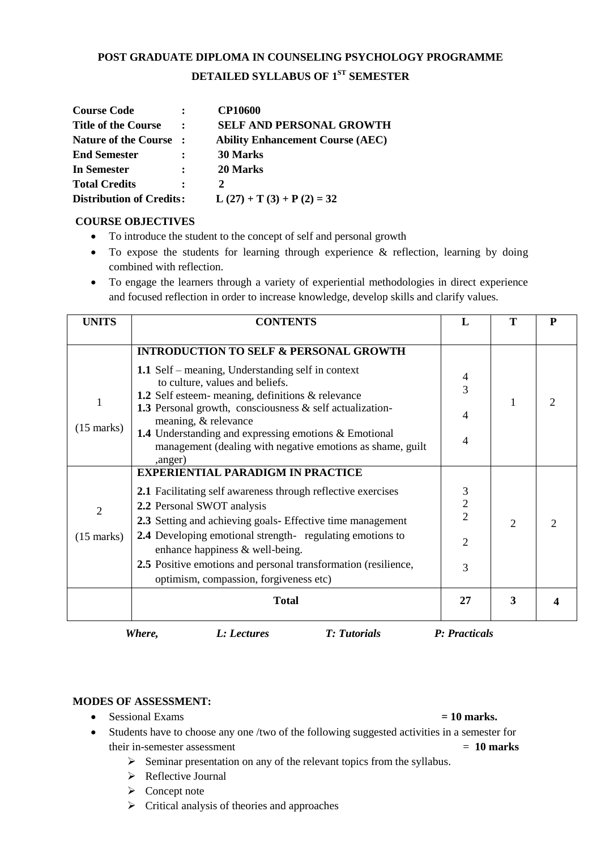# **POST GRADUATE DIPLOMA IN COUNSELING PSYCHOLOGY PROGRAMME DETAILED SYLLABUS OF 1ST SEMESTER**

| <b>Course Code</b>              | $\ddot{\cdot}$       | <b>CP10600</b>                          |
|---------------------------------|----------------------|-----------------------------------------|
| <b>Title of the Course</b>      |                      | <b>SELF AND PERSONAL GROWTH</b>         |
| <b>Nature of the Course</b>     |                      | <b>Ability Enhancement Course (AEC)</b> |
| <b>End Semester</b>             |                      | <b>30 Marks</b>                         |
| In Semester                     | $\ddot{\phantom{a}}$ | 20 Marks                                |
| <b>Total Credits</b>            | :                    | 2                                       |
| <b>Distribution of Credits:</b> |                      | $L(27) + T(3) + P(2) = 32$              |

#### **COURSE OBJECTIVES**

- To introduce the student to the concept of self and personal growth
- $\bullet$  To expose the students for learning through experience & reflection, learning by doing combined with reflection.
- To engage the learners through a variety of experiential methodologies in direct experience and focused reflection in order to increase knowledge, develop skills and clarify values.

| <b>UNITS</b>                           | <b>CONTENTS</b>                                                                                                                                                                                                                                                                                                                                                                                                                | L                                         | Т              | P |
|----------------------------------------|--------------------------------------------------------------------------------------------------------------------------------------------------------------------------------------------------------------------------------------------------------------------------------------------------------------------------------------------------------------------------------------------------------------------------------|-------------------------------------------|----------------|---|
| $\mathbf{1}$<br>$(15 \text{ marks})$   | <b>INTRODUCTION TO SELF &amp; PERSONAL GROWTH</b><br>1.1 Self – meaning, Understanding self in context<br>to culture, values and beliefs.<br>1.2 Self esteem- meaning, definitions & relevance<br><b>1.3</b> Personal growth, consciousness $\&$ self actualization-<br>meaning, & relevance<br>1.4 Understanding and expressing emotions & Emotional<br>management (dealing with negative emotions as shame, guilt<br>,anger) | 4<br>$\overline{3}$<br>4<br>4             |                |   |
| $\overline{2}$<br>$(15 \text{ marks})$ | <b>EXPERIENTIAL PARADIGM IN PRACTICE</b><br>2.1 Facilitating self awareness through reflective exercises<br>2.2 Personal SWOT analysis<br>2.3 Setting and achieving goals- Effective time management<br><b>2.4</b> Developing emotional strength-regulating emotions to<br>enhance happiness & well-being.<br>2.5 Positive emotions and personal transformation (resilience,<br>optimism, compassion, forgiveness etc)         | 3<br>$\frac{2}{2}$<br>$\overline{2}$<br>3 | $\overline{2}$ | っ |
|                                        | <b>Total</b>                                                                                                                                                                                                                                                                                                                                                                                                                   | 27                                        | 3              |   |

*Where, L: Lectures T: Tutorials P: Practicals*

#### **MODES OF ASSESSMENT:**

• Sessional Exams **= 10 marks.** 

- Students have to choose any one /two of the following suggested activities in a semester for their in-semester assessment  $= 10$  marks
	- $\triangleright$  Seminar presentation on any of the relevant topics from the syllabus.
	- > Reflective Journal
	- $\triangleright$  Concept note
	- $\triangleright$  Critical analysis of theories and approaches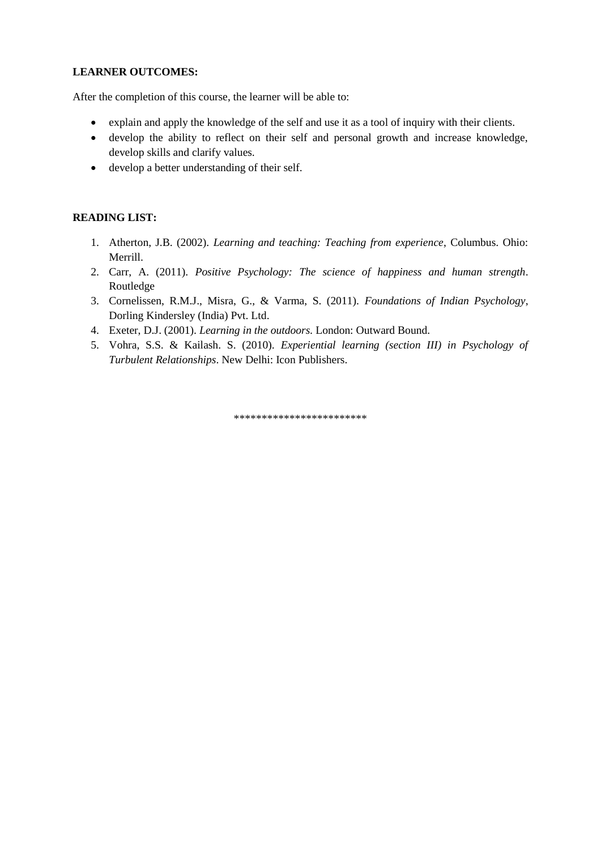#### **LEARNER OUTCOMES:**

After the completion of this course, the learner will be able to:

- explain and apply the knowledge of the self and use it as a tool of inquiry with their clients.
- develop the ability to reflect on their self and personal growth and increase knowledge, develop skills and clarify values.
- develop a better understanding of their self.

#### **READING LIST:**

- 1. Atherton, J.B. (2002). *Learning and teaching: Teaching from experience*, Columbus. Ohio: Merrill.
- 2. Carr, A. (2011). *Positive Psychology: The science of happiness and human strength*. Routledge
- 3. Cornelissen, R.M.J., Misra, G., & Varma, S. (2011). *Foundations of Indian Psychology*, Dorling Kindersley (India) Pvt. Ltd.
- 4. Exeter, D.J. (2001). *Learning in the outdoors.* London: Outward Bound.
- 5. Vohra, S.S. & Kailash. S. (2010). *Experiential learning (section III) in Psychology of Turbulent Relationships*. New Delhi: Icon Publishers.

\*\*\*\*\*\*\*\*\*\*\*\*\*\*\*\*\*\*\*\*\*\*\*\*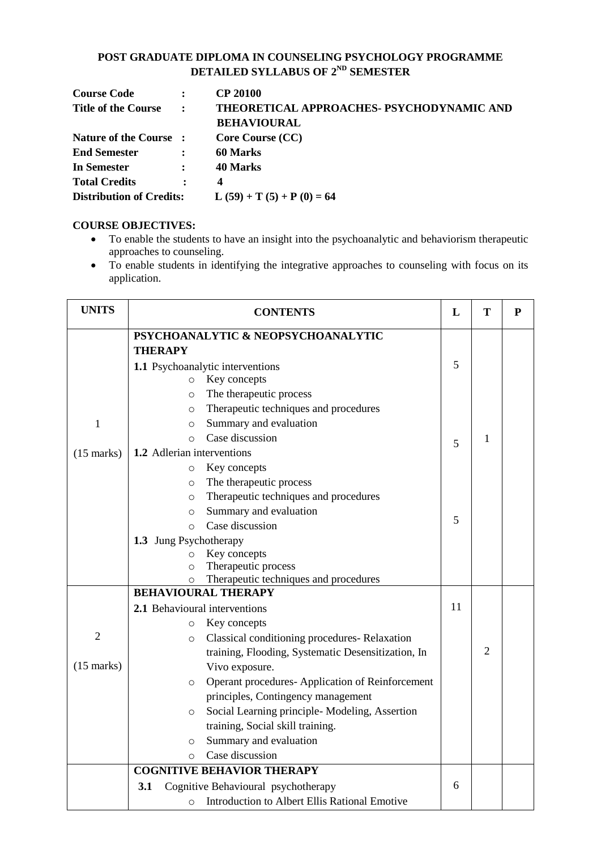#### **POST GRADUATE DIPLOMA IN COUNSELING PSYCHOLOGY PROGRAMME DETAILED SYLLABUS OF 2ND SEMESTER**

| <b>Course Code</b>         | $\ddot{\cdot}$       | <b>CP 20100</b>                                               |
|----------------------------|----------------------|---------------------------------------------------------------|
| <b>Title of the Course</b> | $\sim$ 1.            | THEORETICAL APPROACHES- PSYCHODYNAMIC AND                     |
|                            |                      | <b>BEHAVIOURAL</b>                                            |
| Nature of the Course:      |                      | <b>Core Course (CC)</b>                                       |
| <b>End Semester</b>        | $\ddot{\cdot}$       | 60 Marks                                                      |
| In Semester                | $\ddot{\phantom{a}}$ | 40 Marks                                                      |
| <b>Total Credits</b>       | $\bullet$            | 4                                                             |
|                            |                      | <b>Distribution of Credits:</b> $L (59) + T (5) + P (0) = 64$ |

#### **COURSE OBJECTIVES:**

- To enable the students to have an insight into the psychoanalytic and behaviorism therapeutic approaches to counseling.
- To enable students in identifying the integrative approaches to counseling with focus on its application.

| <b>UNITS</b>   | <b>CONTENTS</b>                                            | L  | T              | $\mathbf{P}$ |
|----------------|------------------------------------------------------------|----|----------------|--------------|
|                | PSYCHOANALYTIC & NEOPSYCHOANALYTIC                         |    |                |              |
|                | <b>THERAPY</b>                                             |    |                |              |
|                | 1.1 Psychoanalytic interventions                           | 5  |                |              |
|                | Key concepts<br>$\circ$                                    |    |                |              |
|                | The therapeutic process<br>$\circ$                         |    |                |              |
|                | Therapeutic techniques and procedures<br>$\circ$           |    |                |              |
| $\mathbf{1}$   | Summary and evaluation<br>$\circ$                          |    |                |              |
|                | Case discussion<br>$\Omega$                                | 5  | $\mathbf{1}$   |              |
| $(15$ marks)   | 1.2 Adlerian interventions                                 |    |                |              |
|                | Key concepts<br>$\circ$                                    |    |                |              |
|                | The therapeutic process<br>$\circ$                         |    |                |              |
|                | Therapeutic techniques and procedures<br>$\circ$           |    |                |              |
|                | Summary and evaluation<br>$\circ$                          |    |                |              |
|                | Case discussion<br>$\Omega$                                | 5  |                |              |
|                | 1.3 Jung Psychotherapy                                     |    |                |              |
|                | Key concepts<br>$\circ$                                    |    |                |              |
|                | Therapeutic process<br>$\circ$                             |    |                |              |
|                | Therapeutic techniques and procedures<br>$\circ$           |    |                |              |
|                | <b>BEHAVIOURAL THERAPY</b>                                 |    |                |              |
|                | 2.1 Behavioural interventions                              | 11 |                |              |
|                | Key concepts<br>$\circ$                                    |    |                |              |
| $\overline{2}$ | Classical conditioning procedures-Relaxation<br>$\circ$    |    |                |              |
|                | training, Flooding, Systematic Desensitization, In         |    | $\overline{2}$ |              |
| $(15$ marks)   | Vivo exposure.                                             |    |                |              |
|                | Operant procedures-Application of Reinforcement<br>$\circ$ |    |                |              |
|                | principles, Contingency management                         |    |                |              |
|                | Social Learning principle- Modeling, Assertion<br>$\circ$  |    |                |              |
|                | training, Social skill training.                           |    |                |              |
|                | Summary and evaluation<br>$\circ$                          |    |                |              |
|                | Case discussion<br>$\circ$                                 |    |                |              |
|                | <b>COGNITIVE BEHAVIOR THERAPY</b>                          |    |                |              |
|                | Cognitive Behavioural psychotherapy<br>3.1                 | 6  |                |              |
|                | Introduction to Albert Ellis Rational Emotive<br>$\circ$   |    |                |              |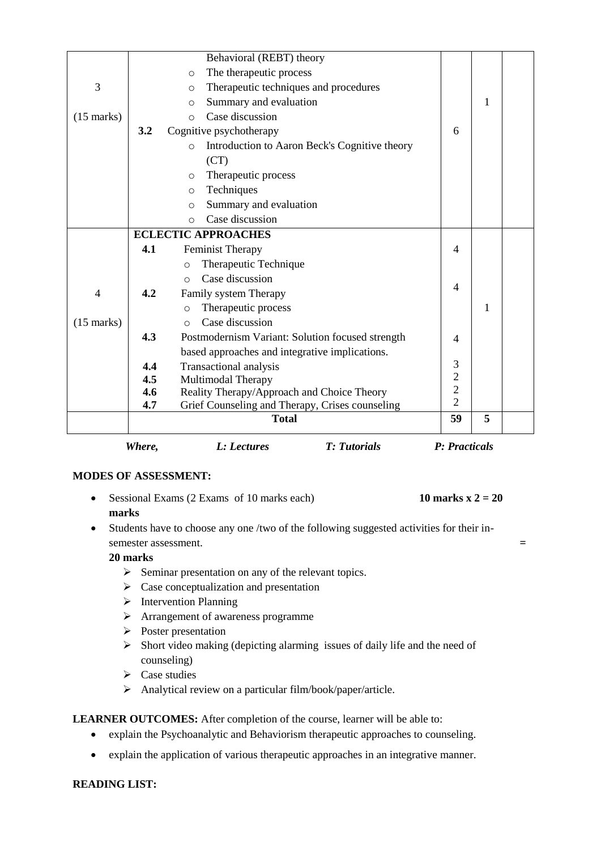|                      | Where, | <b>T:</b> Tutorials<br>L: Lectures                       | P: Practicals  |   |  |
|----------------------|--------|----------------------------------------------------------|----------------|---|--|
|                      |        | <b>Total</b>                                             | 59             | 5 |  |
|                      | 4.7    | Grief Counseling and Therapy, Crises counseling          | $\overline{2}$ |   |  |
|                      | 4.6    | Reality Therapy/Approach and Choice Theory               | $\overline{2}$ |   |  |
|                      | 4.5    | <b>Multimodal Therapy</b>                                | $\overline{c}$ |   |  |
|                      | 4.4    | Transactional analysis                                   | 3              |   |  |
|                      |        | based approaches and integrative implications.           |                |   |  |
|                      | 4.3    | Postmodernism Variant: Solution focused strength         | $\overline{4}$ |   |  |
| $(15 \text{ marks})$ |        | Case discussion<br>$\circ$                               |                |   |  |
|                      |        | Therapeutic process<br>O                                 |                | 1 |  |
| $\overline{4}$       | 4.2    | Family system Therapy                                    | 4              |   |  |
|                      |        | Case discussion<br>$\bigcirc$                            |                |   |  |
|                      |        | Therapeutic Technique<br>$\circ$                         |                |   |  |
|                      | 4.1    | <b>Feminist Therapy</b>                                  | 4              |   |  |
|                      |        | <b>ECLECTIC APPROACHES</b>                               |                |   |  |
|                      |        | Case discussion<br>$\Omega$                              |                |   |  |
|                      |        | Summary and evaluation<br>$\circ$                        |                |   |  |
|                      |        | Techniques<br>$\circ$                                    |                |   |  |
|                      |        | Therapeutic process<br>$\circ$                           |                |   |  |
|                      |        | (CT)                                                     |                |   |  |
|                      |        | Introduction to Aaron Beck's Cognitive theory<br>$\circ$ |                |   |  |
|                      | 3.2    | Cognitive psychotherapy                                  | 6              |   |  |
| $(15$ marks)         |        | Case discussion<br>$\Omega$                              |                |   |  |
|                      |        | Summary and evaluation<br>$\circ$                        |                | 1 |  |
| 3                    |        | Therapeutic techniques and procedures<br>$\circ$         |                |   |  |
|                      |        | The therapeutic process<br>$\circ$                       |                |   |  |
|                      |        | Behavioral (REBT) theory                                 |                |   |  |

- Sessional Exams (2 Exams of 10 marks each) **10 marks x 2 = 20 marks**
- Students have to choose any one /two of the following suggested activities for their insemester assessment. **=**

#### **20 marks**

- $\triangleright$  Seminar presentation on any of the relevant topics.
- $\triangleright$  Case conceptualization and presentation
- $\triangleright$  Intervention Planning
- > Arrangement of awareness programme
- $\triangleright$  Poster presentation
- $\triangleright$  Short video making (depicting alarming issues of daily life and the need of counseling)
- $\triangleright$  Case studies
- $\triangleright$  Analytical review on a particular film/book/paper/article.

#### LEARNER OUTCOMES: After completion of the course, learner will be able to:

- explain the Psychoanalytic and Behaviorism therapeutic approaches to counseling.
- explain the application of various therapeutic approaches in an integrative manner.

#### **READING LIST:**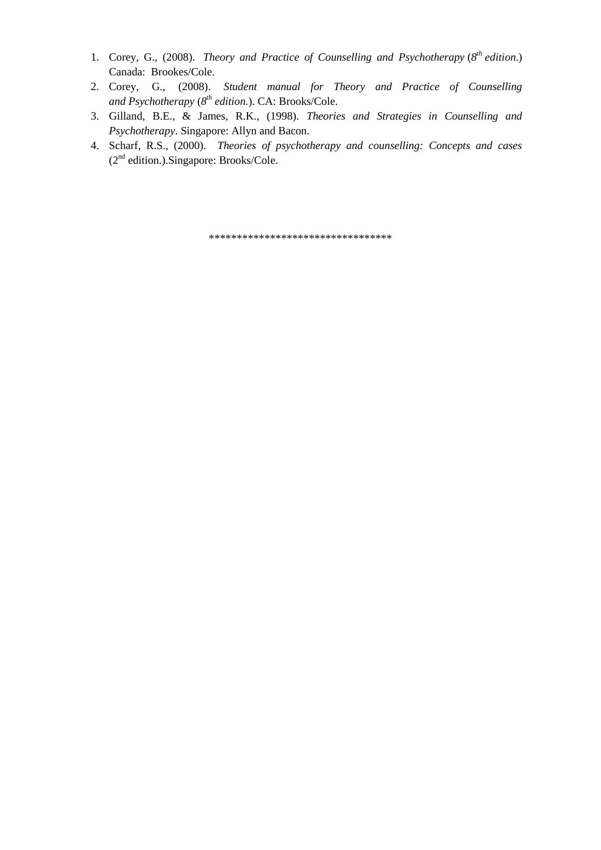- 1. Corey, G., (2008). *Theory and Practice of Counselling and Psychotherapy* ( $8<sup>th</sup>$  *edition.)* Canada: Brookes/Cole.
- 2. Corey, G., (2008). *Student manual for Theory and Practice of Counselling and Psychotherapy* (*8 th edition.*). CA: Brooks/Cole.
- 3. Gilland, B.E., & James, R.K., (1998). *Theories and Strategies in Counselling and Psychotherapy*. Singapore: Allyn and Bacon.
- 4. Scharf, R.S., (2000). *Theories of psychotherapy and counselling: Concepts and cases*  $(2<sup>nd</sup> edition.).$ Singapore: Brooks/Cole.

\*\*\*\*\*\*\*\*\*\*\*\*\*\*\*\*\*\*\*\*\*\*\*\*\*\*\*\*\*\*\*\*\*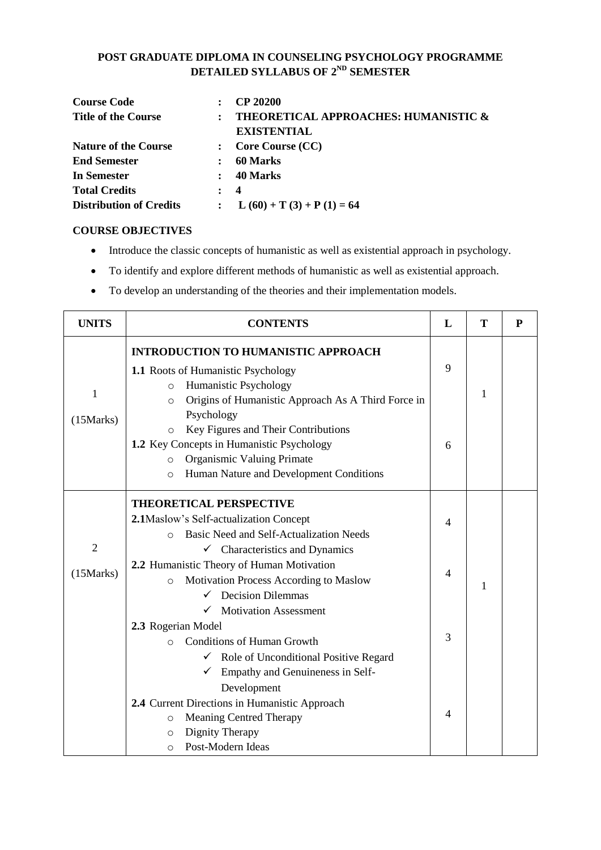#### **POST GRADUATE DIPLOMA IN COUNSELING PSYCHOLOGY PROGRAMME DETAILED SYLLABUS OF 2ND SEMESTER**

| <b>Course Code</b>             |                      | <b>CP 20200</b>                                 |
|--------------------------------|----------------------|-------------------------------------------------|
| <b>Title of the Course</b>     | $\ddot{\cdot}$       | <b>THEORETICAL APPROACHES: HUMANISTIC &amp;</b> |
|                                |                      | <b>EXISTENTIAL</b>                              |
| <b>Nature of the Course</b>    |                      | <b>Core Course (CC)</b>                         |
| <b>End Semester</b>            |                      | 60 Marks                                        |
| <b>In Semester</b>             | $\ddot{\phantom{a}}$ | 40 Marks                                        |
| <b>Total Credits</b>           |                      | $\boldsymbol{4}$                                |
| <b>Distribution of Credits</b> |                      | $L(60) + T(3) + P(1) = 64$                      |

#### **COURSE OBJECTIVES**

- Introduce the classic concepts of humanistic as well as existential approach in psychology.
- To identify and explore different methods of humanistic as well as existential approach.
- To develop an understanding of the theories and their implementation models.

| <b>UNITS</b>                 | <b>CONTENTS</b>                                                                                                                                                                                          | L              | Т | P |  |
|------------------------------|----------------------------------------------------------------------------------------------------------------------------------------------------------------------------------------------------------|----------------|---|---|--|
| $\mathbf{1}$                 | <b>INTRODUCTION TO HUMANISTIC APPROACH</b><br>1.1 Roots of Humanistic Psychology<br>Humanistic Psychology<br>$\circ$<br>Origins of Humanistic Approach As A Third Force in<br>$\circ$                    | 9              | 1 |   |  |
| (15 Marks)                   | Psychology<br>Key Figures and Their Contributions<br>$\circ$<br>1.2 Key Concepts in Humanistic Psychology<br>Organismic Valuing Primate<br>$\circ$<br>Human Nature and Development Conditions<br>$\circ$ | 6              |   |   |  |
|                              | <b>THEORETICAL PERSPECTIVE</b><br>2.1Maslow's Self-actualization Concept<br>Basic Need and Self-Actualization Needs<br>$\bigcirc$                                                                        |                |   |   |  |
| $\overline{2}$<br>(15 Marks) | $\checkmark$ Characteristics and Dynamics<br>2.2 Humanistic Theory of Human Motivation<br>Motivation Process According to Maslow<br>$\circ$<br><b>Decision Dilemmas</b>                                  | 4              | 1 |   |  |
|                              | <b>Motivation Assessment</b><br>2.3 Rogerian Model<br><b>Conditions of Human Growth</b><br>$\bigcap$<br>$\checkmark$ Role of Unconditional Positive Regard<br>Empathy and Genuineness in Self-           | 3              |   |   |  |
|                              | Development<br>2.4 Current Directions in Humanistic Approach<br><b>Meaning Centred Therapy</b><br>$\circ$<br>Dignity Therapy<br>O<br>Post-Modern Ideas<br>O                                              | $\overline{4}$ |   |   |  |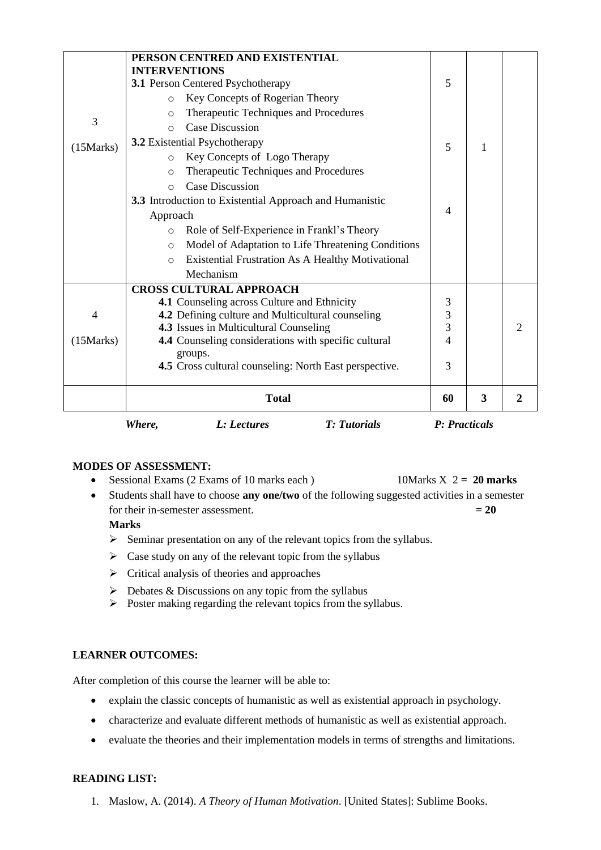|            | Where,<br>L: Lectures<br><b>T:</b> Tutorials                        | P: Practicals                             |   |                |
|------------|---------------------------------------------------------------------|-------------------------------------------|---|----------------|
|            | <b>Total</b>                                                        | 60                                        | 3 | 2              |
|            | <b>4.5</b> Cross cultural counseling: North East perspective.       | 3                                         |   |                |
| (15 Marks) | 4.4 Counseling considerations with specific cultural<br>groups.     |                                           |   |                |
|            | 4.3 Issues in Multicultural Counseling                              | $\overline{4}$                            |   | $\overline{c}$ |
| 4          | 4.2 Defining culture and Multicultural counseling                   | $\overline{\mathbf{3}}$<br>$\overline{3}$ |   |                |
|            | 4.1 Counseling across Culture and Ethnicity                         | 3                                         |   |                |
|            | <b>CROSS CULTURAL APPROACH</b>                                      |                                           |   |                |
|            | Mechanism                                                           |                                           |   |                |
|            | <b>Existential Frustration As A Healthy Motivational</b><br>$\circ$ |                                           |   |                |
|            | Model of Adaptation to Life Threatening Conditions<br>$\circ$       |                                           |   |                |
|            | Role of Self-Experience in Frankl's Theory<br>$\circ$               |                                           |   |                |
|            | Approach                                                            | $\overline{4}$                            |   |                |
|            | 3.3 Introduction to Existential Approach and Humanistic             |                                           |   |                |
|            | <b>Case Discussion</b><br>$\Omega$                                  |                                           |   |                |
|            | Therapeutic Techniques and Procedures<br>$\circ$                    |                                           |   |                |
|            | Key Concepts of Logo Therapy<br>$\circ$                             |                                           |   |                |
| (15 Marks) | 3.2 Existential Psychotherapy                                       | 5                                         | 1 |                |
| 3          | <b>Case Discussion</b><br>$\Omega$                                  |                                           |   |                |
|            | Therapeutic Techniques and Procedures<br>$\circ$                    |                                           |   |                |
|            | Key Concepts of Rogerian Theory<br>$\circ$                          |                                           |   |                |
|            | 3.1 Person Centered Psychotherapy                                   | 5                                         |   |                |
|            | <b>INTERVENTIONS</b>                                                |                                           |   |                |
|            | PERSON CENTRED AND EXISTENTIAL                                      |                                           |   |                |

- Sessional Exams (2 Exams of 10 marks each ) 10Marks X 2 **= 20 marks**
- Students shall have to choose **any one/two** of the following suggested activities in a semester for their in-semester assessment.  $= 20$

#### **Marks**

- $\triangleright$  Seminar presentation on any of the relevant topics from the syllabus.
- $\triangleright$  Case study on any of the relevant topic from the syllabus
- $\triangleright$  Critical analysis of theories and approaches
- $\triangleright$  Debates & Discussions on any topic from the syllabus
- $\triangleright$  Poster making regarding the relevant topics from the syllabus.

#### **LEARNER OUTCOMES:**

After completion of this course the learner will be able to:

- explain the classic concepts of humanistic as well as existential approach in psychology.
- characterize and evaluate different methods of humanistic as well as existential approach.
- evaluate the theories and their implementation models in terms of strengths and limitations.

#### **READING LIST:**

1. Maslow, A. (2014). *A Theory of Human Motivation*. [United States]: Sublime Books.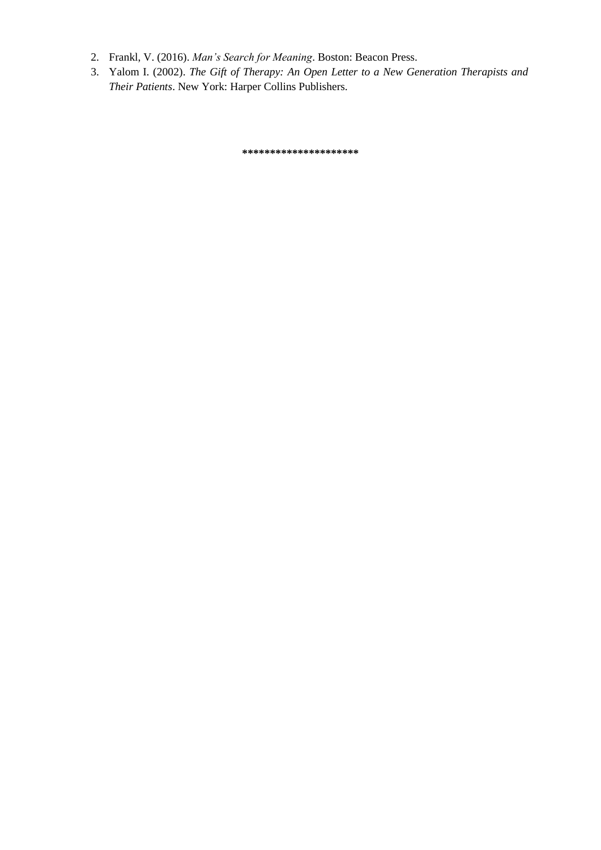- 2. Frankl, V. (2016). *Man's Search for Meaning*. Boston: Beacon Press.
- 3. Yalom I. (2002). *The Gift of Therapy: An Open Letter to a New Generation Therapists and Their Patients*. New York: Harper Collins Publishers.

**\*\*\*\*\*\*\*\*\*\*\*\*\*\*\*\*\*\*\*\*\***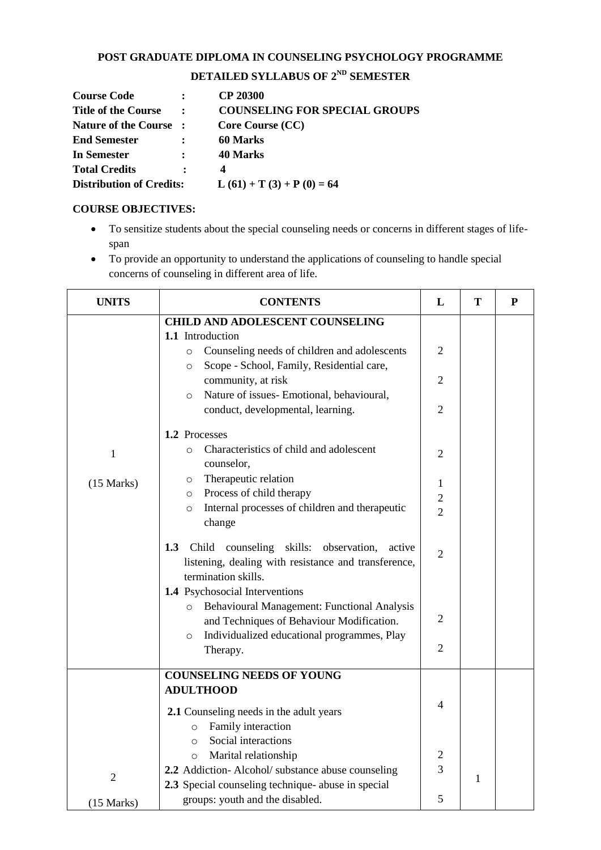### **POST GRADUATE DIPLOMA IN COUNSELING PSYCHOLOGY PROGRAMME**

# **DETAILED SYLLABUS OF 2ND SEMESTER**

| <b>Course Code</b>              |                | <b>CP 20300</b>                      |
|---------------------------------|----------------|--------------------------------------|
| <b>Title of the Course</b>      | $\ddot{\cdot}$ | <b>COUNSELING FOR SPECIAL GROUPS</b> |
| Nature of the Course:           |                | Core Course (CC)                     |
| <b>End Semester</b>             |                | 60 Marks                             |
| In Semester                     |                | 40 Marks                             |
| <b>Total Credits</b>            | :              | 4                                    |
| <b>Distribution of Credits:</b> |                | $L(61) + T(3) + P(0) = 64$           |

#### **COURSE OBJECTIVES:**

- To sensitize students about the special counseling needs or concerns in different stages of lifespan
- To provide an opportunity to understand the applications of counseling to handle special concerns of counseling in different area of life.

| <b>UNITS</b>   | <b>CONTENTS</b>                                                                                                                               | L                                            | T            | P |
|----------------|-----------------------------------------------------------------------------------------------------------------------------------------------|----------------------------------------------|--------------|---|
|                | <b>CHILD AND ADOLESCENT COUNSELING</b><br>1.1 Introduction                                                                                    |                                              |              |   |
|                | Counseling needs of children and adolescents<br>$\circ$<br>Scope - School, Family, Residential care,<br>$\circ$                               | 2                                            |              |   |
|                | community, at risk<br>Nature of issues- Emotional, behavioural,<br>$\circ$                                                                    | $\overline{2}$                               |              |   |
|                | conduct, developmental, learning.                                                                                                             | $\overline{2}$                               |              |   |
|                | 1.2 Processes                                                                                                                                 |                                              |              |   |
| $\mathbf{1}$   | Characteristics of child and adolescent<br>$\circ$<br>counselor,                                                                              | 2                                            |              |   |
| (15 Marks)     | Therapeutic relation<br>$\circ$<br>Process of child therapy<br>$\circ$<br>Internal processes of children and therapeutic<br>$\circ$<br>change | $\mathbf{1}$<br>$\sqrt{2}$<br>$\overline{2}$ |              |   |
|                | Child<br>counseling skills: observation,<br>1.3<br>active<br>listening, dealing with resistance and transference,<br>termination skills.      | $\overline{2}$                               |              |   |
|                | 1.4 Psychosocial Interventions                                                                                                                |                                              |              |   |
|                | Behavioural Management: Functional Analysis<br>$\circ$<br>and Techniques of Behaviour Modification.                                           | $\overline{2}$                               |              |   |
|                | Individualized educational programmes, Play<br>$\circ$<br>Therapy.                                                                            | $\overline{2}$                               |              |   |
|                | <b>COUNSELING NEEDS OF YOUNG</b><br><b>ADULTHOOD</b>                                                                                          |                                              |              |   |
|                | 2.1 Counseling needs in the adult years<br>Family interaction<br>$\circ$                                                                      | 4                                            |              |   |
|                | Social interactions<br>$\circ$                                                                                                                |                                              |              |   |
|                | Marital relationship<br>$\circ$<br>2.2 Addiction-Alcohol/ substance abuse counseling                                                          | $\overline{c}$<br>3                          |              |   |
| $\overline{2}$ | 2.3 Special counseling technique- abuse in special                                                                                            |                                              | $\mathbf{1}$ |   |
| (15 Marks)     | groups: youth and the disabled.                                                                                                               | 5                                            |              |   |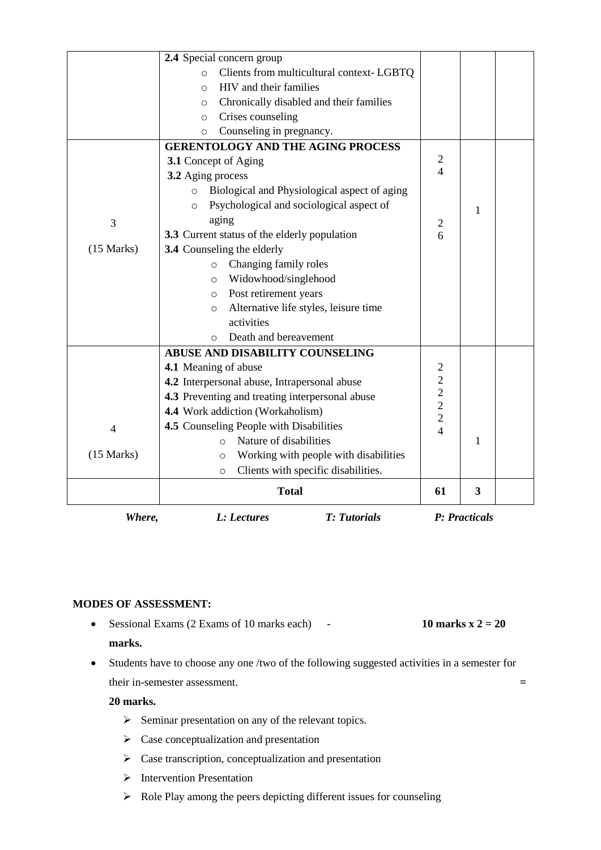| Nature of disabilities<br>$\Omega$<br>Working with people with disabilities<br>$\circ$<br>Clients with specific disabilities.<br>$\circ$<br><b>Total</b> | 61                                                                                                                                                                                                                                                                                                                                                                                                                                                                                                                                             | 3                                                                                                     |                   |
|----------------------------------------------------------------------------------------------------------------------------------------------------------|------------------------------------------------------------------------------------------------------------------------------------------------------------------------------------------------------------------------------------------------------------------------------------------------------------------------------------------------------------------------------------------------------------------------------------------------------------------------------------------------------------------------------------------------|-------------------------------------------------------------------------------------------------------|-------------------|
|                                                                                                                                                          |                                                                                                                                                                                                                                                                                                                                                                                                                                                                                                                                                |                                                                                                       |                   |
|                                                                                                                                                          |                                                                                                                                                                                                                                                                                                                                                                                                                                                                                                                                                |                                                                                                       |                   |
|                                                                                                                                                          |                                                                                                                                                                                                                                                                                                                                                                                                                                                                                                                                                |                                                                                                       |                   |
|                                                                                                                                                          |                                                                                                                                                                                                                                                                                                                                                                                                                                                                                                                                                |                                                                                                       |                   |
| 4.5 Counseling People with Disabilities                                                                                                                  |                                                                                                                                                                                                                                                                                                                                                                                                                                                                                                                                                |                                                                                                       |                   |
| 4.4 Work addiction (Workaholism)                                                                                                                         |                                                                                                                                                                                                                                                                                                                                                                                                                                                                                                                                                |                                                                                                       |                   |
| 4.3 Preventing and treating interpersonal abuse                                                                                                          |                                                                                                                                                                                                                                                                                                                                                                                                                                                                                                                                                |                                                                                                       |                   |
| 4.2 Interpersonal abuse, Intrapersonal abuse                                                                                                             | $\overline{c}$                                                                                                                                                                                                                                                                                                                                                                                                                                                                                                                                 |                                                                                                       |                   |
| 4.1 Meaning of abuse                                                                                                                                     | $\overline{2}$                                                                                                                                                                                                                                                                                                                                                                                                                                                                                                                                 |                                                                                                       |                   |
| ABUSE AND DISABILITY COUNSELING                                                                                                                          |                                                                                                                                                                                                                                                                                                                                                                                                                                                                                                                                                |                                                                                                       |                   |
| Death and bereavement<br>$\circ$                                                                                                                         |                                                                                                                                                                                                                                                                                                                                                                                                                                                                                                                                                |                                                                                                       |                   |
| activities                                                                                                                                               |                                                                                                                                                                                                                                                                                                                                                                                                                                                                                                                                                |                                                                                                       |                   |
| $\circ$                                                                                                                                                  |                                                                                                                                                                                                                                                                                                                                                                                                                                                                                                                                                |                                                                                                       |                   |
| $\circ$                                                                                                                                                  |                                                                                                                                                                                                                                                                                                                                                                                                                                                                                                                                                |                                                                                                       |                   |
| $\circ$                                                                                                                                                  |                                                                                                                                                                                                                                                                                                                                                                                                                                                                                                                                                |                                                                                                       |                   |
| $\circ$                                                                                                                                                  |                                                                                                                                                                                                                                                                                                                                                                                                                                                                                                                                                |                                                                                                       |                   |
|                                                                                                                                                          |                                                                                                                                                                                                                                                                                                                                                                                                                                                                                                                                                |                                                                                                       |                   |
|                                                                                                                                                          |                                                                                                                                                                                                                                                                                                                                                                                                                                                                                                                                                |                                                                                                       |                   |
|                                                                                                                                                          |                                                                                                                                                                                                                                                                                                                                                                                                                                                                                                                                                |                                                                                                       |                   |
|                                                                                                                                                          |                                                                                                                                                                                                                                                                                                                                                                                                                                                                                                                                                |                                                                                                       |                   |
|                                                                                                                                                          |                                                                                                                                                                                                                                                                                                                                                                                                                                                                                                                                                |                                                                                                       |                   |
|                                                                                                                                                          | $\overline{4}$                                                                                                                                                                                                                                                                                                                                                                                                                                                                                                                                 |                                                                                                       |                   |
|                                                                                                                                                          |                                                                                                                                                                                                                                                                                                                                                                                                                                                                                                                                                |                                                                                                       |                   |
|                                                                                                                                                          |                                                                                                                                                                                                                                                                                                                                                                                                                                                                                                                                                |                                                                                                       |                   |
|                                                                                                                                                          |                                                                                                                                                                                                                                                                                                                                                                                                                                                                                                                                                |                                                                                                       |                   |
|                                                                                                                                                          |                                                                                                                                                                                                                                                                                                                                                                                                                                                                                                                                                |                                                                                                       |                   |
|                                                                                                                                                          |                                                                                                                                                                                                                                                                                                                                                                                                                                                                                                                                                |                                                                                                       |                   |
|                                                                                                                                                          |                                                                                                                                                                                                                                                                                                                                                                                                                                                                                                                                                |                                                                                                       |                   |
|                                                                                                                                                          |                                                                                                                                                                                                                                                                                                                                                                                                                                                                                                                                                |                                                                                                       |                   |
| 2.4 Special concern group<br>Clients from multicultural context-LGBTQ<br>$\circ$<br>HIV and their families<br>$\circ$                                    |                                                                                                                                                                                                                                                                                                                                                                                                                                                                                                                                                |                                                                                                       |                   |
|                                                                                                                                                          | Chronically disabled and their families<br>$\circ$<br>Crises counseling<br>$\circ$<br>Counseling in pregnancy.<br>$\circ$<br><b>GERENTOLOGY AND THE AGING PROCESS</b><br>3.1 Concept of Aging<br>3.2 Aging process<br>Biological and Physiological aspect of aging<br>$\circ$<br>Psychological and sociological aspect of<br>$\circ$<br>aging<br>3.3 Current status of the elderly population<br>3.4 Counseling the elderly<br>Changing family roles<br>Widowhood/singlehood<br>Post retirement years<br>Alternative life styles, leisure time | $\overline{2}$<br>$\overline{c}$<br>6<br>$\begin{array}{c} 2 \\ 2 \\ 2 \end{array}$<br>$\overline{4}$ | 1<br>$\mathbf{1}$ |

- Sessional Exams (2 Exams of 10 marks each)  $-$  10 marks  $x^2 = 20$ **marks.**
- Students have to choose any one /two of the following suggested activities in a semester for their in-semester assessment. **=**

#### **20 marks.**

- $\triangleright$  Seminar presentation on any of the relevant topics.
- $\triangleright$  Case conceptualization and presentation
- $\triangleright$  Case transcription, conceptualization and presentation
- $\triangleright$  Intervention Presentation
- $\triangleright$  Role Play among the peers depicting different issues for counseling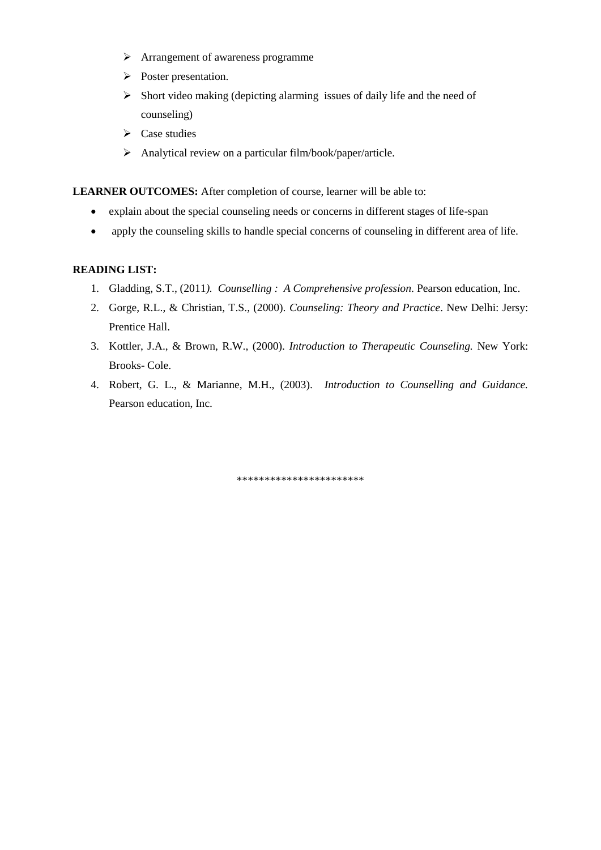- > Arrangement of awareness programme
- Poster presentation.
- $\triangleright$  Short video making (depicting alarming issues of daily life and the need of counseling)
- $\triangleright$  Case studies
- $\triangleright$  Analytical review on a particular film/book/paper/article.

LEARNER OUTCOMES: After completion of course, learner will be able to:

- explain about the special counseling needs or concerns in different stages of life-span
- apply the counseling skills to handle special concerns of counseling in different area of life.

#### **READING LIST:**

- 1. Gladding, S.T., (2011*). Counselling : A Comprehensive profession*. Pearson education, Inc.
- 2. Gorge, R.L., & Christian, T.S., (2000). *Counseling: Theory and Practice*. New Delhi: Jersy: Prentice Hall.
- 3. Kottler, J.A., & Brown, R.W., (2000). *Introduction to Therapeutic Counseling.* New York: Brooks- Cole.
- 4. Robert, G. L., & Marianne, M.H., (2003). *Introduction to Counselling and Guidance.* Pearson education, Inc.

\*\*\*\*\*\*\*\*\*\*\*\*\*\*\*\*\*\*\*\*\*\*\*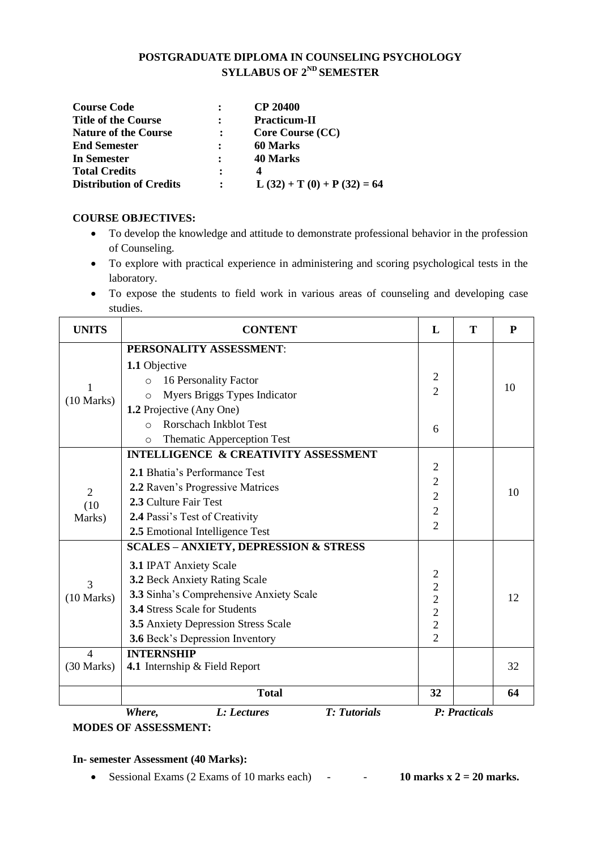#### **POSTGRADUATE DIPLOMA IN COUNSELING PSYCHOLOGY SYLLABUS OF 2ND SEMESTER**

| <b>Course Code</b>             |                | <b>CP 20400</b>             |
|--------------------------------|----------------|-----------------------------|
| <b>Title of the Course</b>     |                | <b>Practicum-II</b>         |
| <b>Nature of the Course</b>    |                | Core Course (CC)            |
| <b>End Semester</b>            |                | <b>60 Marks</b>             |
| In Semester                    |                | 40 Marks                    |
| <b>Total Credits</b>           | $\ddot{\cdot}$ |                             |
| <b>Distribution of Credits</b> |                | $L(32) + T(0) + P(32) = 64$ |

#### **COURSE OBJECTIVES:**

- To develop the knowledge and attitude to demonstrate professional behavior in the profession of Counseling.
- To explore with practical experience in administering and scoring psychological tests in the laboratory.
- To expose the students to field work in various areas of counseling and developing case studies.

| <b>UNITS</b>             | <b>CONTENT</b>                                   | L                                          | T             | P  |
|--------------------------|--------------------------------------------------|--------------------------------------------|---------------|----|
|                          | PERSONALITY ASSESSMENT:                          |                                            |               |    |
|                          | 1.1 Objective                                    |                                            |               |    |
| 1                        | 16 Personality Factor<br>$\circ$                 | $\sqrt{2}$                                 |               | 10 |
| (10 Marks)               | Myers Briggs Types Indicator<br>O                | $\overline{2}$                             |               |    |
|                          | 1.2 Projective (Any One)                         |                                            |               |    |
|                          | <b>Rorschach Inkblot Test</b><br>$\bigcap$       | 6                                          |               |    |
|                          | <b>Thematic Apperception Test</b><br>$\circ$     |                                            |               |    |
|                          | <b>INTELLIGENCE &amp; CREATIVITY ASSESSMENT</b>  |                                            |               |    |
|                          | 2.1 Bhatia's Performance Test                    | $\overline{2}$                             |               |    |
| $\overline{2}$           | 2.2 Raven's Progressive Matrices                 | $\overline{2}$                             |               | 10 |
| (10)                     | 2.3 Culture Fair Test                            | $\overline{2}$                             |               |    |
| Marks)                   | 2.4 Passi's Test of Creativity                   | $\overline{2}$                             |               |    |
|                          | 2.5 Emotional Intelligence Test                  | $\overline{2}$                             |               |    |
|                          | <b>SCALES - ANXIETY, DEPRESSION &amp; STRESS</b> |                                            |               |    |
|                          | <b>3.1 IPAT Anxiety Scale</b>                    |                                            |               |    |
| 3                        | 3.2 Beck Anxiety Rating Scale                    | $\begin{array}{c} 2 \\ 2 \\ 2 \end{array}$ |               |    |
| (10 Marks)               | 3.3 Sinha's Comprehensive Anxiety Scale          |                                            |               | 12 |
|                          | <b>3.4 Stress Scale for Students</b>             | $\overline{2}$                             |               |    |
|                          | 3.5 Anxiety Depression Stress Scale              | $\overline{c}$                             |               |    |
|                          | <b>3.6</b> Beck's Depression Inventory           | $\overline{2}$                             |               |    |
| $\overline{\mathcal{L}}$ | <b>INTERNSHIP</b>                                |                                            |               |    |
| $(30$ Marks)             | 4.1 Internship & Field Report                    |                                            |               | 32 |
|                          | <b>Total</b>                                     | 32                                         |               | 64 |
|                          | <b>T:</b> Tutorials<br>Where,<br>L: Lectures     |                                            | P: Practicals |    |

**MODES OF ASSESSMENT:** 

### **In- semester Assessment (40 Marks):**

Sessional Exams  $(2 \text{ Exams of } 10 \text{ marks each})$  -  $\qquad 10 \text{ marks } x \, 2 = 20 \text{ marks.}$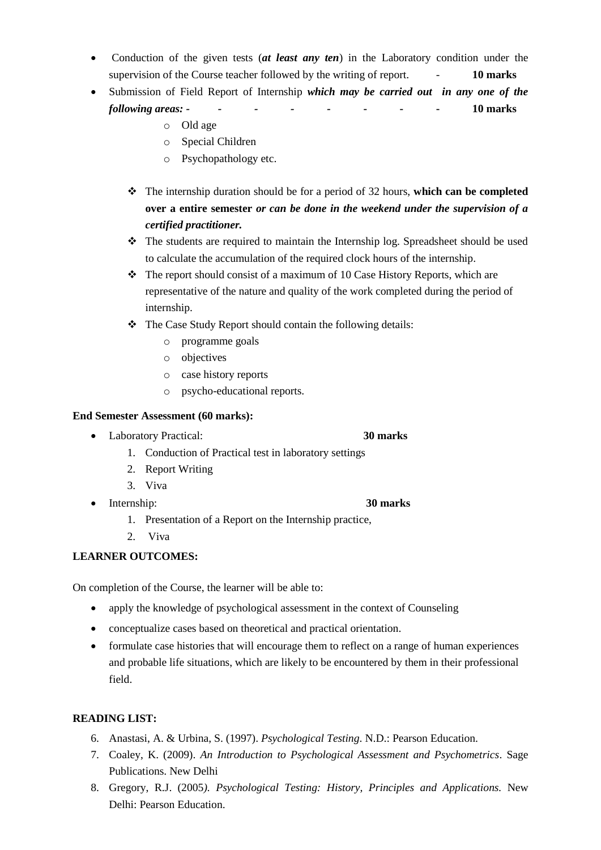- Conduction of the given tests (*at least any ten*) in the Laboratory condition under the supervision of the Course teacher followed by the writing of report. - **10 marks**
- Submission of Field Report of Internship *which may be carried out in any one of the following areas: - - - - -* **- - - 10 marks**
	- o Old age
	- o Special Children
	- o Psychopathology etc.
	- The internship duration should be for a period of 32 hours, **which can be completed over a entire semester** *or can be done in the weekend under the supervision of a certified practitioner.*
	- The students are required to maintain the Internship log. Spreadsheet should be used to calculate the accumulation of the required clock hours of the internship.
	- $\hat{\mathbf{v}}$  The report should consist of a maximum of 10 Case History Reports, which are representative of the nature and quality of the work completed during the period of internship.
	- \* The Case Study Report should contain the following details:
		- o programme goals
		- o objectives
		- o case history reports
		- o psycho-educational reports.

#### **End Semester Assessment (60 marks):**

- Laboratory Practical: **30 marks**
	- 1. Conduction of Practical test in laboratory settings
	- 2. Report Writing
	- 3. Viva
- Internship: **30 marks**
	- 1. Presentation of a Report on the Internship practice,
	- 2. Viva

#### **LEARNER OUTCOMES:**

On completion of the Course, the learner will be able to:

- apply the knowledge of psychological assessment in the context of Counseling
- conceptualize cases based on theoretical and practical orientation.
- formulate case histories that will encourage them to reflect on a range of human experiences and probable life situations, which are likely to be encountered by them in their professional field.

#### **READING LIST:**

- 6. Anastasi, A. & Urbina, S. (1997). *Psychological Testing*. N.D.: Pearson Education.
- 7. Coaley, K. (2009). *An Introduction to Psychological Assessment and Psychometrics*. Sage Publications. New Delhi
- 8. Gregory, R.J. (2005*). Psychological Testing: History, Principles and Applications.* New Delhi: Pearson Education.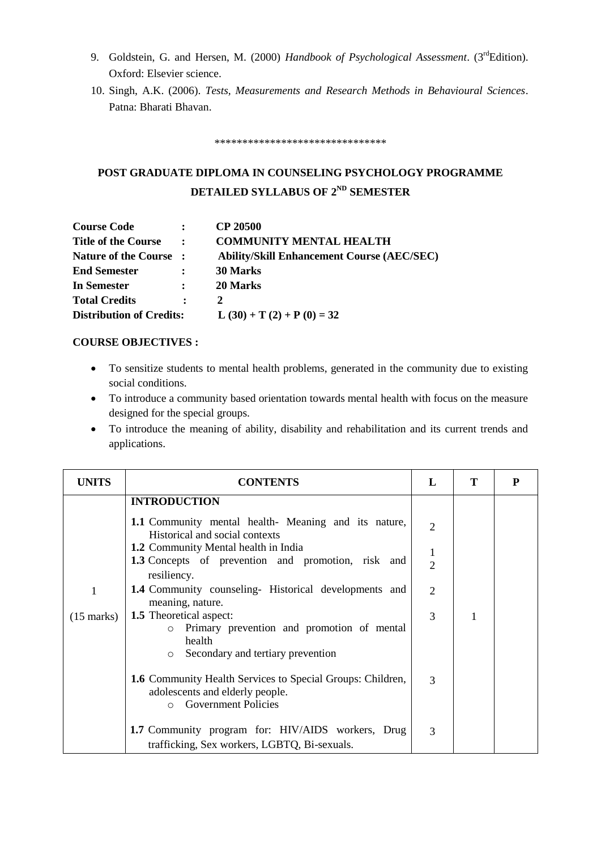- 9. Goldstein, G. and Hersen, M. (2000) *Handbook of Psychological Assessment*. (3<sup>rd</sup>Edition). Oxford: Elsevier science.
- 10. Singh, A.K. (2006). *Tests, Measurements and Research Methods in Behavioural Sciences*. Patna: Bharati Bhavan.

\*\*\*\*\*\*\*\*\*\*\*\*\*\*\*\*\*\*\*\*\*\*\*\*\*\*\*\*\*\*\*

# **POST GRADUATE DIPLOMA IN COUNSELING PSYCHOLOGY PROGRAMME DETAILED SYLLABUS OF 2ND SEMESTER**

| <b>Course Code</b>              | $\mathbf{r}$   | <b>CP 20500</b>                                   |
|---------------------------------|----------------|---------------------------------------------------|
| <b>Title of the Course</b>      | $\sim$ 1.      | <b>COMMUNITY MENTAL HEALTH</b>                    |
| Nature of the Course :          |                | <b>Ability/Skill Enhancement Course (AEC/SEC)</b> |
| <b>End Semester</b>             |                | 30 Marks                                          |
| In Semester                     | $\ddot{\cdot}$ | 20 Marks                                          |
| <b>Total Credits</b>            | $\bullet$      | 2                                                 |
| <b>Distribution of Credits:</b> |                | L $(30) + T(2) + P(0) = 32$                       |

#### **COURSE OBJECTIVES :**

- To sensitize students to mental health problems, generated in the community due to existing social conditions.
- To introduce a community based orientation towards mental health with focus on the measure designed for the special groups.
- To introduce the meaning of ability, disability and rehabilitation and its current trends and applications.

| <b>UNITS</b>         | <b>CONTENTS</b>                                                                                                                                                                                                                                                                                   | L                                          | Т | P |
|----------------------|---------------------------------------------------------------------------------------------------------------------------------------------------------------------------------------------------------------------------------------------------------------------------------------------------|--------------------------------------------|---|---|
| 1                    | <b>INTRODUCTION</b><br>1.1 Community mental health- Meaning and its nature,<br>Historical and social contexts<br>1.2 Community Mental health in India<br><b>1.3</b> Concepts of prevention and promotion, risk and<br>resiliency.<br><b>1.4</b> Community counseling- Historical developments and | $\overline{2}$<br>1<br>$\overline{2}$<br>2 |   |   |
| $(15 \text{ marks})$ | meaning, nature.<br><b>1.5</b> Theoretical aspect:<br>Primary prevention and promotion of mental<br>$\circ$<br>health<br>Secondary and tertiary prevention<br>$\circ$                                                                                                                             | 3                                          |   |   |
|                      | 1.6 Community Health Services to Special Groups: Children,<br>adolescents and elderly people.<br><b>Government Policies</b><br>$\Omega$                                                                                                                                                           | 3                                          |   |   |
|                      | 1.7 Community program for: HIV/AIDS workers, Drug<br>trafficking, Sex workers, LGBTQ, Bi-sexuals.                                                                                                                                                                                                 | 3                                          |   |   |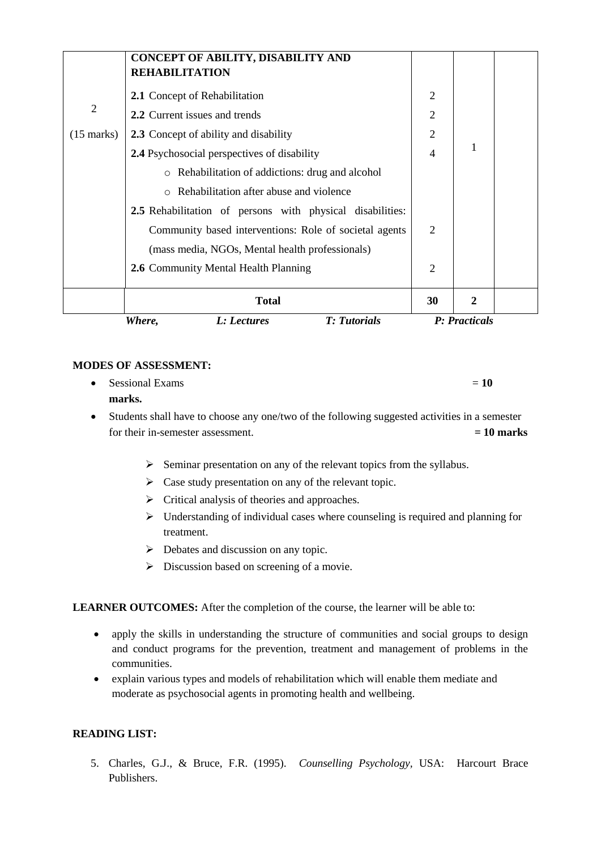|                      | CONCEPT OF ABILITY, DISABILITY AND<br><b>REHABILITATION</b> |                             |               |  |
|----------------------|-------------------------------------------------------------|-----------------------------|---------------|--|
|                      | 2.1 Concept of Rehabilitation                               | 2                           |               |  |
| $\overline{2}$       | 2.2 Current issues and trends                               | $\overline{2}$              |               |  |
| $(15 \text{ marks})$ | <b>2.3</b> Concept of ability and disability                | $\overline{2}$              |               |  |
|                      | <b>2.4</b> Psychosocial perspectives of disability          | $\overline{4}$              | 1             |  |
|                      | Rehabilitation of addictions: drug and alcohol<br>$\circ$   |                             |               |  |
|                      | Rehabilitation after abuse and violence<br>$\Omega$         |                             |               |  |
|                      | 2.5 Rehabilitation of persons with physical disabilities:   |                             |               |  |
|                      | Community based interventions: Role of societal agents      | $\mathcal{D}_{\mathcal{L}}$ |               |  |
|                      | (mass media, NGOs, Mental health professionals)             |                             |               |  |
|                      | 2.6 Community Mental Health Planning                        | 2                           |               |  |
|                      | <b>Total</b>                                                | 30                          | 2             |  |
|                      | <b>T:</b> Tutorials<br>Where,<br>L: Lectures                |                             | P: Practicals |  |

 $\bullet$  Sessional Exams  $= 10$ 

#### **marks.**

- Students shall have to choose any one/two of the following suggested activities in a semester for their in-semester assessment.  $= 10$  marks
	- $\triangleright$  Seminar presentation on any of the relevant topics from the syllabus.
	- $\triangleright$  Case study presentation on any of the relevant topic.
	- $\triangleright$  Critical analysis of theories and approaches.
	- $\triangleright$  Understanding of individual cases where counseling is required and planning for treatment.
	- $\triangleright$  Debates and discussion on any topic.
	- $\triangleright$  Discussion based on screening of a movie.

#### **LEARNER OUTCOMES:** After the completion of the course, the learner will be able to:

- apply the skills in understanding the structure of communities and social groups to design and conduct programs for the prevention, treatment and management of problems in the communities.
- explain various types and models of rehabilitation which will enable them mediate and moderate as psychosocial agents in promoting health and wellbeing.

#### **READING LIST:**

5. Charles, G.J., & Bruce, F.R. (1995). *Counselling Psychology,* USA: Harcourt Brace Publishers.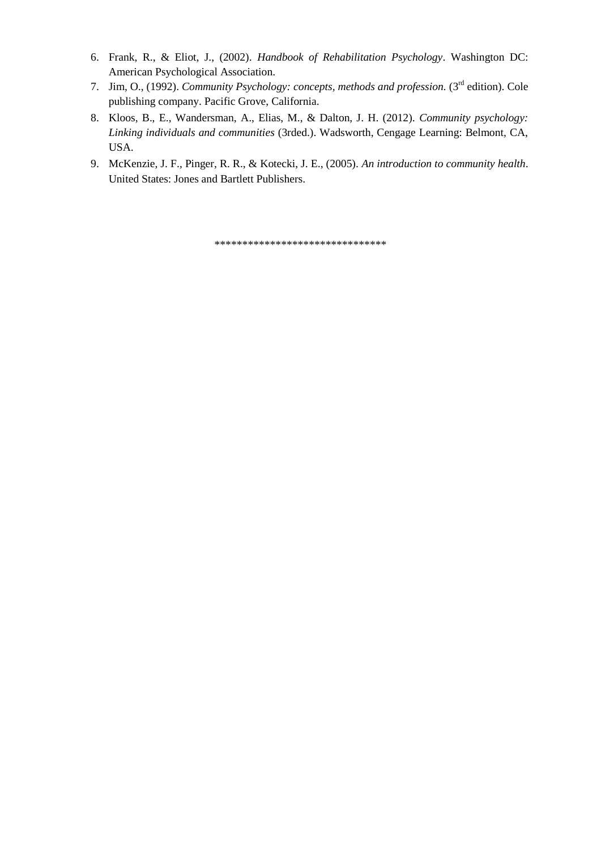- 6. Frank, R., & Eliot, J., (2002). *Handbook of Rehabilitation Psychology*. Washington DC: American Psychological Association.
- 7. Jim, O., (1992). *Community Psychology: concepts, methods and profession.* (3rd edition). Cole publishing company. Pacific Grove, California.
- 8. Kloos, B., E., Wandersman, A., Elias, M., & Dalton, J. H. (2012). *Community psychology: Linking individuals and communities* (3rded.). Wadsworth, Cengage Learning: Belmont, CA, USA.
- 9. McKenzie, J. F., Pinger, R. R., & Kotecki, J. E., (2005). *An introduction to community health*. United States: Jones and Bartlett Publishers.

\*\*\*\*\*\*\*\*\*\*\*\*\*\*\*\*\*\*\*\*\*\*\*\*\*\*\*\*\*\*\*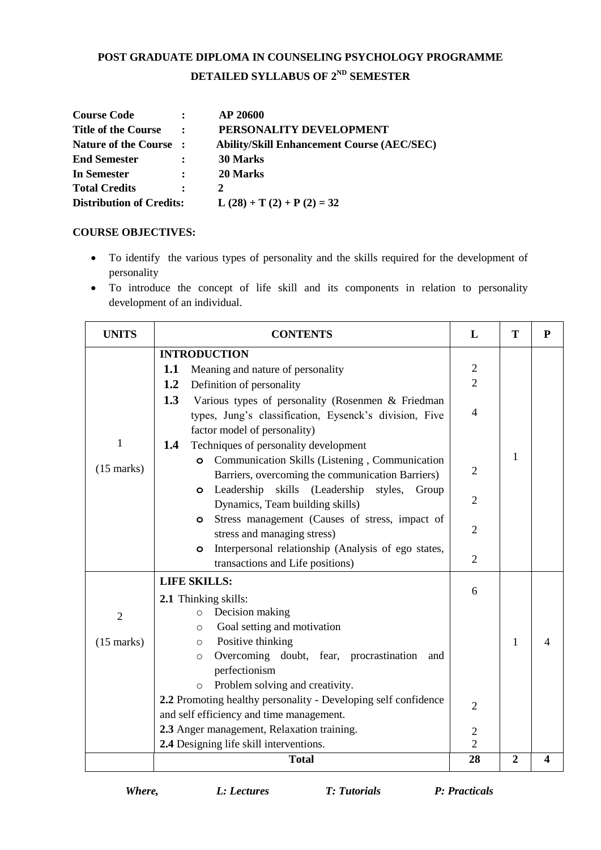# **POST GRADUATE DIPLOMA IN COUNSELING PSYCHOLOGY PROGRAMME DETAILED SYLLABUS OF 2ND SEMESTER**

| <b>Course Code</b>              | $\mathbf{r}$   | <b>AP 20600</b>                                   |
|---------------------------------|----------------|---------------------------------------------------|
| <b>Title of the Course</b>      | $\mathbf{r}$   | PERSONALITY DEVELOPMENT                           |
| Nature of the Course :          |                | <b>Ability/Skill Enhancement Course (AEC/SEC)</b> |
| <b>End Semester</b>             | $\ddot{\cdot}$ | 30 Marks                                          |
| In Semester                     | $\mathbf{r}$   | 20 Marks                                          |
| <b>Total Credits</b>            | $\ddot{\cdot}$ | 2                                                 |
| <b>Distribution of Credits:</b> |                | $L(28) + T(2) + P(2) = 32$                        |

#### **COURSE OBJECTIVES:**

- To identify the various types of personality and the skills required for the development of personality
- To introduce the concept of life skill and its components in relation to personality development of an individual.

| <b>UNITS</b>   | <b>CONTENTS</b>                                                                                               | L              | T              | ${\bf P}$ |
|----------------|---------------------------------------------------------------------------------------------------------------|----------------|----------------|-----------|
|                | <b>INTRODUCTION</b>                                                                                           |                |                |           |
|                | 1.1<br>Meaning and nature of personality                                                                      | $\mathbf{2}$   |                |           |
|                | 1.2<br>Definition of personality                                                                              | $\overline{2}$ |                |           |
|                | 1.3<br>Various types of personality (Rosenmen & Friedman                                                      |                |                |           |
|                | types, Jung's classification, Eysenck's division, Five                                                        | $\overline{4}$ |                |           |
|                | factor model of personality)                                                                                  |                |                |           |
| 1              | Techniques of personality development<br>1.4                                                                  |                | 1              |           |
| $(15$ marks)   | Communication Skills (Listening, Communication<br>$\circ$<br>Barriers, overcoming the communication Barriers) | $\overline{2}$ |                |           |
|                | Leadership skills (Leadership styles,<br>Group<br>$\circ$                                                     |                |                |           |
|                | Dynamics, Team building skills)                                                                               | $\overline{2}$ |                |           |
|                | Stress management (Causes of stress, impact of<br>$\circ$                                                     |                |                |           |
|                | stress and managing stress)                                                                                   | 2              |                |           |
|                | Interpersonal relationship (Analysis of ego states,<br>$\circ$                                                |                |                |           |
|                | transactions and Life positions)                                                                              | $\overline{2}$ |                |           |
|                | <b>LIFE SKILLS:</b>                                                                                           |                |                |           |
|                | 2.1 Thinking skills:                                                                                          | 6              |                |           |
| $\overline{2}$ | Decision making<br>$\circ$                                                                                    |                |                |           |
|                | Goal setting and motivation<br>$\circ$                                                                        |                |                |           |
| $(15$ marks)   | Positive thinking<br>$\circ$                                                                                  |                | $\mathbf{1}$   | 4         |
|                | Overcoming doubt, fear, procrastination<br>and<br>$\circ$                                                     |                |                |           |
|                | perfectionism                                                                                                 |                |                |           |
|                | Problem solving and creativity.<br>$\circ$                                                                    |                |                |           |
|                | 2.2 Promoting healthy personality - Developing self confidence                                                | $\overline{2}$ |                |           |
|                | and self efficiency and time management.                                                                      |                |                |           |
|                | 2.3 Anger management, Relaxation training.                                                                    | $\overline{2}$ |                |           |
|                | 2.4 Designing life skill interventions.                                                                       | $\overline{2}$ |                |           |
|                | <b>Total</b>                                                                                                  | 28             | $\overline{2}$ | 4         |